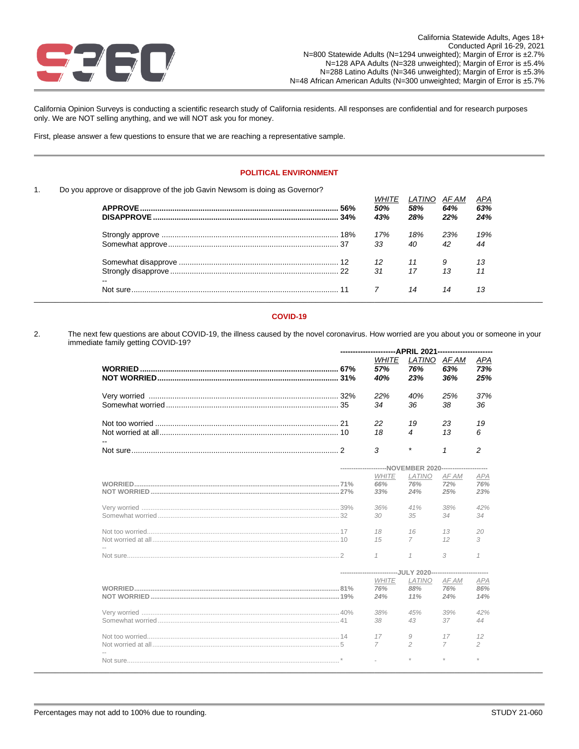

California Opinion Surveys is conducting a scientific research study of California residents. All responses are confidential and for research purposes only. We are NOT selling anything, and we will NOT ask you for money.

First, please answer a few questions to ensure that we are reaching a representative sample.

### **POLITICAL ENVIRONMENT**

### 1. Do you approve or disapprove of the job Gavin Newsom is doing as Governor?

|    |     | 50% | LATINO<br>58% | AF AM<br>64% | APA<br>63% |
|----|-----|-----|---------------|--------------|------------|
|    | 34% | 43% | 28%           | 22%          | 24%        |
|    |     | 17% | 18%           | 23%          | 19%        |
|    |     | 33  | 40            | 42           | 44         |
|    |     | 12  |               |              | 13         |
| -- |     | 31  | 17            | 1.3          | 11         |
|    |     |     | 14            | 14           | 13         |

### **COVID-19**

2. The next few questions are about COVID-19, the illness caused by the novel coronavirus. How worried are you about you or someone in your immediate family getting COVID-19? **----------------------APRIL 2021----------------------**

|  | WHITE<br>57%<br>40%                                                                           | LATINO<br>76%<br>23% | AF AM<br>63%<br>36%  | APA<br>73%<br>25%    |
|--|-----------------------------------------------------------------------------------------------|----------------------|----------------------|----------------------|
|  | 22%<br>34                                                                                     | 40%<br>36            | 25%<br>38            | 37%<br>36            |
|  | 22<br>18                                                                                      | 19<br>4              | 23<br>13             | 19<br>6              |
|  | 3                                                                                             | $\star$              | $\mathbf{1}$         | $\overline{c}$       |
|  | ---------------------NOVEMBER 2020---------------------<br><b>WHITE</b><br>66%                | LATINO<br>76%        | AF AM<br>72%         | APA<br>76%           |
|  | 33%<br>36%<br>30                                                                              | 24%<br>41%<br>35     | 25%<br>38%<br>34     | 23%<br>42%<br>34     |
|  | 18<br>15                                                                                      | 16<br>7              | 13<br>12             | 20<br>3              |
|  | $\mathcal I$                                                                                  | $\mathcal I$         | 3                    | $\mathcal I$         |
|  | ---------------------------JULY 2020---------------------------<br><b>WHITE</b><br>76%<br>24% | LATINO<br>88%<br>11% | AF AM<br>76%<br>24%  | APA<br>86%<br>14%    |
|  | 38%<br>38                                                                                     | 45%<br>43            | 39%<br>37            | 42%<br>44            |
|  | 17<br>$\overline{7}$                                                                          | 9<br>$\overline{c}$  | 17<br>$\overline{7}$ | 12<br>$\overline{c}$ |
|  |                                                                                               |                      |                      | $\mathcal{R}$        |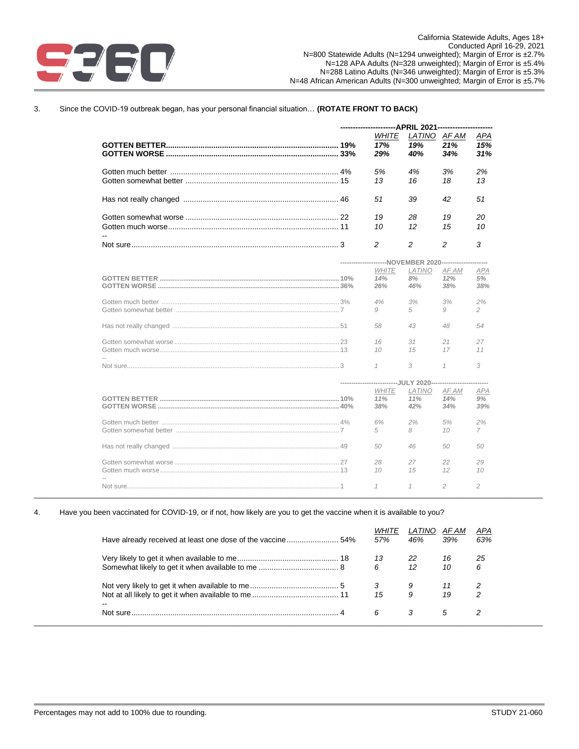

# 3. Since the COVID-19 outbreak began, has your personal financial situation… **(ROTATE FRONT TO BACK)**

|                                                         | ----------------------APRIL 2021-------------------         |                         |                     |                         |  |
|---------------------------------------------------------|-------------------------------------------------------------|-------------------------|---------------------|-------------------------|--|
|                                                         | <b>WHITE</b><br>17%<br>29%                                  | LATINO<br>19%<br>40%    | AF AM<br>21%<br>34% | APA<br>15%<br>31%       |  |
|                                                         | 5%<br>13                                                    | 4%<br>16                | 3%<br>18            | 2%<br>13                |  |
|                                                         | 51                                                          | 39                      | 42                  | 51                      |  |
|                                                         | 19<br>10                                                    | 28<br>$12 \overline{ }$ | 19<br>15            | 20<br>10                |  |
|                                                         | 2                                                           | 2                       | 2                   | 3                       |  |
| ---------------------NOVEMBER 2020--------------------- |                                                             |                         |                     |                         |  |
|                                                         | <b>WHITE</b><br>14%<br>26%                                  | LATINO<br>8%<br>46%     | AF AM<br>12%<br>38% | <b>APA</b><br>5%<br>38% |  |
|                                                         | 4%<br>9                                                     | 3%<br>5                 | 3%<br>9             | 2%<br>2                 |  |
|                                                         | 58                                                          | 43                      | 48                  | 54                      |  |
|                                                         | 16<br>10                                                    | 31<br>15                | 21<br>17            | 27<br>11                |  |
|                                                         | $\mathcal I$                                                | 3                       | $\mathcal I$        | 3                       |  |
|                                                         | --------------------------JULY 2020------------------------ |                         |                     |                         |  |
|                                                         | <b>WHITE</b><br>11%<br>38%                                  | LATINO<br>11%<br>42%    | AF AM<br>14%<br>34% | APA<br>9%<br>39%        |  |
|                                                         | 6%<br>5                                                     | 2%<br>8                 | 5%<br>10            | 2%<br>7                 |  |
|                                                         | 50                                                          | 46                      | 50                  | 50                      |  |
|                                                         | 28<br>10                                                    | 27<br>15                | 22<br>12            | 29<br>10                |  |
|                                                         | $\mathcal I$                                                | $\mathcal I$            | $\mathfrak{D}$      | $\mathfrak{D}$          |  |

### 4. Have you been vaccinated for COVID-19, or if not, how likely are you to get the vaccine when it is available to you?

|                          | <i>WHITE</i><br>57% | <i>LATINO</i><br>46% | AF AM<br>39% | APA<br>63% |
|--------------------------|---------------------|----------------------|--------------|------------|
|                          | 13                  | 22                   | 16           | 25         |
|                          | 6                   | 12                   | 10           | 6          |
|                          | 3                   |                      |              |            |
|                          | 15                  | 9                    | 19           | 2          |
| $\overline{\phantom{a}}$ |                     |                      |              |            |

\_\_\_\_\_\_\_\_\_\_\_\_\_\_\_\_\_\_\_\_\_\_\_\_\_\_\_\_\_\_\_\_\_\_\_\_\_\_\_\_\_\_\_\_\_\_\_\_\_\_\_\_\_\_\_\_\_\_\_\_\_\_\_\_\_\_\_\_\_\_\_\_\_\_\_\_\_\_\_\_\_\_\_\_\_\_\_\_\_\_\_\_\_\_\_\_\_\_\_\_\_\_\_\_\_\_\_\_\_\_\_\_\_\_\_\_\_\_\_\_\_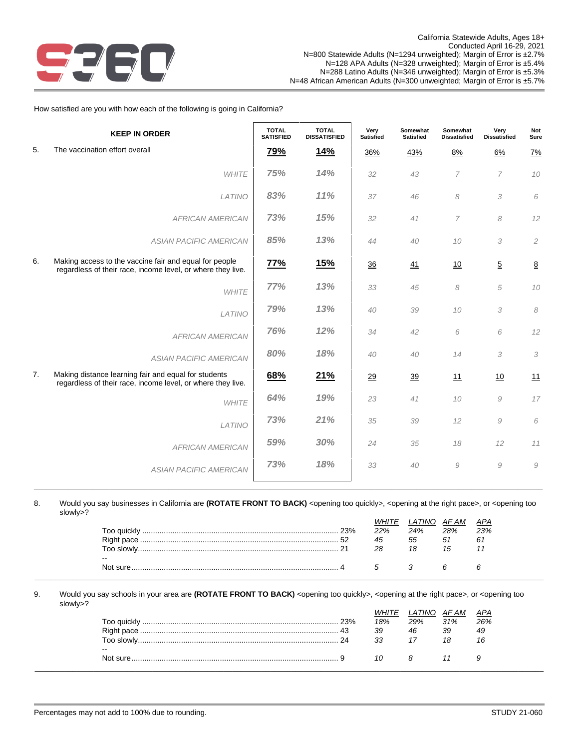

How satisfied are you with how each of the following is going in California?

|    | <b>KEEP IN ORDER</b>                                                                                                  | <b>TOTAL</b><br><b>SATISFIED</b> | <b>TOTAL</b><br><b>DISSATISFIED</b> | Very<br><b>Satisfied</b> | Somewhat<br><b>Satisfied</b> | Somewhat<br><b>Dissatisfied</b> | Very<br><b>Dissatisfied</b> | Not<br>Sure     |
|----|-----------------------------------------------------------------------------------------------------------------------|----------------------------------|-------------------------------------|--------------------------|------------------------------|---------------------------------|-----------------------------|-----------------|
| 5. | The vaccination effort overall                                                                                        | <u>79%</u>                       | <u>14%</u>                          | 36%                      | 43%                          | 8%                              | 6%                          | 7%              |
|    | <b>WHITE</b>                                                                                                          | 75%                              | 14%                                 | 32                       | 43                           | $\overline{7}$                  | $\overline{7}$              | 10              |
|    | LATINO                                                                                                                | 83%                              | 11%                                 | 37                       | 46                           | 8                               | 3                           | 6               |
|    | <b>AFRICAN AMERICAN</b>                                                                                               | 73%                              | 15%                                 | 32                       | 41                           | 7                               | 8                           | 12              |
|    | <b>ASIAN PACIFIC AMERICAN</b>                                                                                         | 85%                              | 13%                                 | 44                       | 40                           | $10$                            | 3                           | $\overline{c}$  |
| 6. | Making access to the vaccine fair and equal for people<br>regardless of their race, income level, or where they live. | 77%                              | <u>15%</u>                          | 36                       | 41                           | 10                              | $\overline{5}$              | $\underline{8}$ |
|    | <b>WHITE</b>                                                                                                          | 77%                              | 13%                                 | 33                       | 45                           | 8                               | 5                           | 10              |
|    | LATINO                                                                                                                | 79%                              | 13%                                 | 40                       | 39                           | 10                              | 3                           | 8               |
|    | <b>AFRICAN AMERICAN</b>                                                                                               | 76%                              | 12%                                 | 34                       | 42                           | 6                               | 6                           | 12              |
|    | <b>ASIAN PACIFIC AMERICAN</b>                                                                                         | 80%                              | 18%                                 | 40                       | 40                           | 14                              | 3                           | 3               |
| 7. | Making distance learning fair and equal for students<br>regardless of their race, income level, or where they live.   | 68%                              | <u>21%</u>                          | 29                       | 39                           | 11                              | 10                          | 11              |
|    | <b>WHITE</b>                                                                                                          | 64%                              | 19%                                 | 23                       | 41                           | 10                              | $\mathcal G$                | 17              |
|    | LATINO                                                                                                                | 73%                              | 21%                                 | 35                       | 39                           | 12                              | $\mathcal G$                | $\it 6$         |
|    | <b>AFRICAN AMERICAN</b>                                                                                               | 59%                              | 30%                                 | 24                       | 35                           | 18                              | 12                          | 11              |
|    | <b>ASIAN PACIFIC AMERICAN</b>                                                                                         | 73%                              | 18%                                 | 33                       | 40                           | 9                               | $\cal{G}$                   | $\mathcal G$    |
|    |                                                                                                                       |                                  |                                     |                          |                              |                                 |                             |                 |

8. Would you say businesses in California are (ROTATE FRONT TO BACK) <opening too quickly>, <opening at the right pace>, or <opening too slowly>?

\_\_\_\_\_\_\_\_\_\_\_\_\_\_\_\_\_\_\_\_\_\_\_\_\_\_\_\_\_\_\_\_\_\_\_\_\_\_\_\_\_\_\_\_\_\_\_\_\_\_\_\_\_\_\_\_\_\_\_\_\_\_\_\_\_\_\_\_\_\_\_\_\_\_\_\_\_\_\_\_\_\_\_\_\_\_\_\_\_\_\_\_\_\_\_\_\_\_\_\_\_\_\_\_\_\_\_\_\_\_\_\_\_\_\_\_\_\_\_\_\_

|                   |     | TINO | AF AM | APA |
|-------------------|-----|------|-------|-----|
|                   | 22% | 24%  | 28%   | 23% |
|                   | 45  | 55   | 51    | 61  |
| 21<br>Too slowlv. | 28  | 18   | 15    |     |
| $- -$             |     |      |       |     |
| Not sure.         |     |      |       |     |
|                   |     |      |       |     |

9. Would you say schools in your area are (ROTATE FRONT TO BACK) <opening too quickly>, <opening at the right pace>, or <opening too slowly>?

|               |    |     | `TINO | AF AM | <b>APA</b> |
|---------------|----|-----|-------|-------|------------|
| . Too quicklv |    | 18% | 29%   | 31%   | 26%        |
|               |    | 39  | 46    | 39    | 49         |
| Too slowlv    | 24 | 33  |       |       | 16         |
| $- -$         |    |     |       |       |            |
| Not sure.     |    | 10  |       |       |            |
|               |    |     |       |       |            |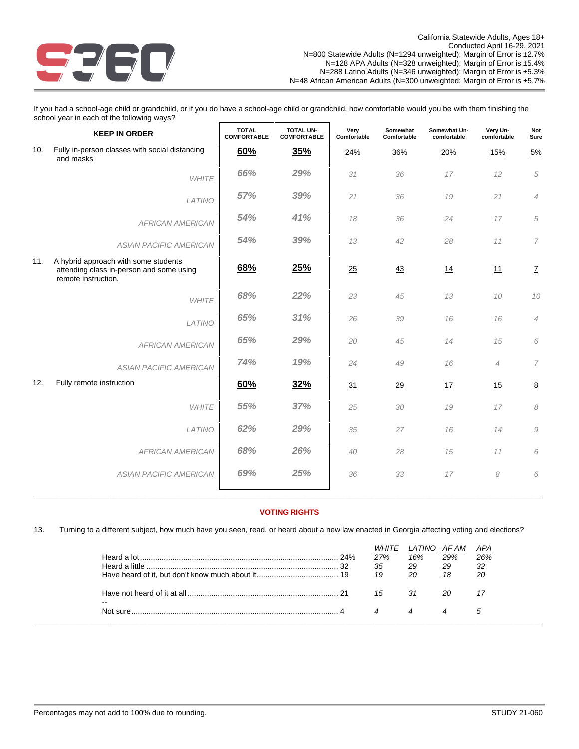

If you had a school-age child or grandchild, or if you do have a school-age child or grandchild, how comfortable would you be with them finishing the school year in each of the following ways?

|     | <b>KEEP IN ORDER</b>                                                                                    | <b>TOTAL</b><br><b>COMFORTABLE</b> | <b>TOTAL UN-</b><br><b>COMFORTABLE</b> | Very<br>Comfortable | Somewhat<br>Comfortable | Somewhat Un-<br>comfortable | Very Un-<br>comfortable | Not<br>Sure                |
|-----|---------------------------------------------------------------------------------------------------------|------------------------------------|----------------------------------------|---------------------|-------------------------|-----------------------------|-------------------------|----------------------------|
| 10. | Fully in-person classes with social distancing<br>and masks                                             | 60%                                | 35%                                    | 24%                 | 36%                     | 20%                         | 15%                     | 5%                         |
|     | <b>WHITE</b>                                                                                            | 66%                                | 29%                                    | 31                  | 36                      | 17                          | 12                      | 5                          |
|     | LATINO                                                                                                  | 57%                                | 39%                                    | 21                  | 36                      | 19                          | 21                      | $\overline{4}$             |
|     | <b>AFRICAN AMERICAN</b>                                                                                 | 54%                                | 41%                                    | 18                  | 36                      | 24                          | 17                      | 5                          |
|     | <b>ASIAN PACIFIC AMERICAN</b>                                                                           | 54%                                | 39%                                    | 13                  | 42                      | 28                          | 11                      | 7                          |
| 11. | A hybrid approach with some students<br>attending class in-person and some using<br>remote instruction. | 68%                                | <u>25%</u>                             | 25                  | 43                      | 14                          | <u>11</u>               | $\mathbf{Z}$               |
|     | <b>WHITE</b>                                                                                            | 68%                                | 22%                                    | 23                  | 45                      | 13                          | 10                      | $10$                       |
|     | LATINO                                                                                                  | 65%                                | 31%                                    | 26                  | 39                      | 16                          | 16                      | $\overline{4}$             |
|     | <b>AFRICAN AMERICAN</b>                                                                                 | 65%                                | 29%                                    | 20                  | 45                      | 14                          | 15                      | 6                          |
|     | <b>ASIAN PACIFIC AMERICAN</b>                                                                           | 74%                                | 19%                                    | 24                  | 49                      | 16                          | $\overline{4}$          | $\overline{7}$             |
| 12. | Fully remote instruction                                                                                | 60%                                | 32%                                    | 31                  | 29                      | 17                          | 15                      | $\underline{8}$            |
|     | <b>WHITE</b>                                                                                            | 55%                                | 37%                                    | 25                  | 30                      | 19                          | 17                      | $\boldsymbol{\mathcal{S}}$ |
|     | LATINO                                                                                                  | 62%                                | 29%                                    | 35                  | 27                      | 16                          | 14                      | 9                          |
|     | <b>AFRICAN AMERICAN</b>                                                                                 | 68%                                | 26%                                    | 40                  | 28                      | 15                          | 11                      | 6                          |
|     | <b>ASIAN PACIFIC AMERICAN</b>                                                                           | 69%                                | 25%                                    | 36                  | 33                      | 17                          | 8                       | 6                          |
|     |                                                                                                         |                                    |                                        |                     |                         |                             |                         |                            |

# \_\_\_\_\_\_\_\_\_\_\_\_\_\_\_\_\_\_\_\_\_\_\_\_\_\_\_\_\_\_\_\_\_\_\_\_\_\_\_\_\_\_\_\_\_\_\_\_\_\_\_\_\_\_\_\_\_\_\_\_\_\_\_\_\_\_\_\_\_\_\_\_\_\_\_\_\_\_\_\_\_\_\_\_\_\_\_\_\_\_\_\_\_\_\_\_\_\_\_\_\_\_\_\_\_\_\_\_\_\_\_\_\_\_\_\_\_\_\_\_\_ **VOTING RIGHTS**

13. Turning to a different subject, how much have you seen, read, or heard about a new law enacted in Georgia affecting voting and elections?

|                    | .32 | WHITE<br>27%<br>35<br>19 | LATINO<br>16%<br>29<br>20 | AF AM<br>29%<br>29<br>18 | APA<br>26%<br>32<br>20 |
|--------------------|-----|--------------------------|---------------------------|--------------------------|------------------------|
| $- -$<br>Not sure. |     | 15                       | 31.                       | 20                       |                        |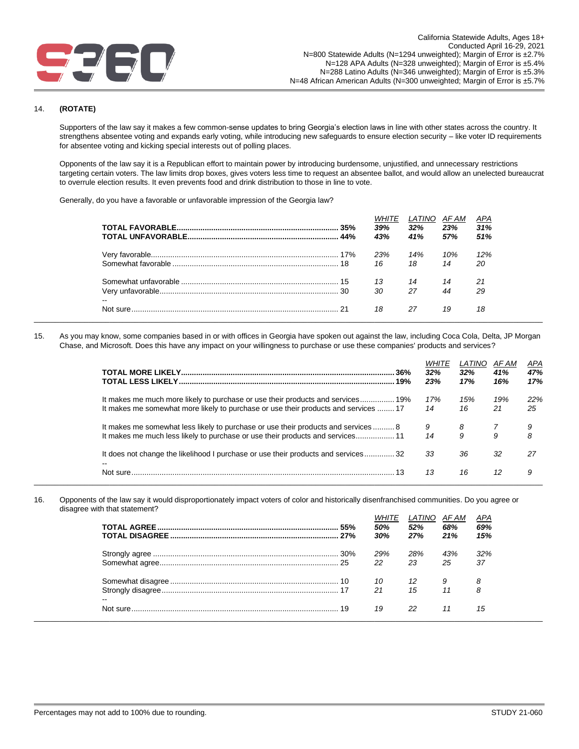

### 14. **(ROTATE)**

Supporters of the law say it makes a few common-sense updates to bring Georgia's election laws in line with other states across the country. It strengthens absentee voting and expands early voting, while introducing new safeguards to ensure election security – like voter ID requirements for absentee voting and kicking special interests out of polling places.

Opponents of the law say it is a Republican effort to maintain power by introducing burdensome, unjustified, and unnecessary restrictions targeting certain voters. The law limits drop boxes, gives voters less time to request an absentee ballot, and would allow an unelected bureaucrat to overrule election results. It even prevents food and drink distribution to those in line to vote.

Generally, do you have a favorable or unfavorable impression of the Georgia law?

|                          | 39%<br>43% | LATINO<br>32%<br>41% | AF AM<br>23%<br>57% | APA<br>31%<br>51% |
|--------------------------|------------|----------------------|---------------------|-------------------|
|                          | 23%<br>16  | 14%<br>18            | 10%<br>14           | 12%<br>20         |
| $\overline{\phantom{a}}$ | 13<br>30   | 14<br>27             | 14<br>44            | 21<br>29          |
|                          | 18         | 27                   | 19                  | 18                |

15. As you may know, some companies based in or with offices in Georgia have spoken out against the law, including Coca Cola, Delta, JP Morgan Chase, and Microsoft. Does this have any impact on your willingness to purchase or use these companies' products and services?

| .36%<br>19%                                                                                                                                                            | WHITE<br>32%<br>23% | LATINO<br>32%<br>17% | AF AM<br>41%<br>16% | APA<br>47%<br>17% |
|------------------------------------------------------------------------------------------------------------------------------------------------------------------------|---------------------|----------------------|---------------------|-------------------|
| It makes me much more likely to purchase or use their products and services 19%<br>It makes me somewhat more likely to purchase or use their products and services  17 | 17%<br>14           | 15%<br>16            | 19%<br>21           | 22%<br>25         |
| It makes me somewhat less likely to purchase or use their products and services  8<br>It makes me much less likely to purchase or use their products and services 11   | 9<br>14             | 8<br>9               | 9                   | 9<br>8            |
| It does not change the likelihood I purchase or use their products and services32                                                                                      | 33                  | 36                   | 32                  | 27                |
| Not sure                                                                                                                                                               | 13                  | 16                   | 12                  | 9                 |

16. Opponents of the law say it would disproportionately impact voters of color and historically disenfranchised communities. Do you agree or disagree with that statement?

|                          | .55% | 50%<br>30% | <i>LATINO</i><br>52%<br>27% | AF AM<br>68%<br>21% | APA<br>69%<br>15% |
|--------------------------|------|------------|-----------------------------|---------------------|-------------------|
|                          |      | 29%        | 28%                         | 43%                 | 32%               |
|                          |      | 22         | 23                          | 25                  | 37                |
|                          |      | 10         | 12                          | 9                   | 8                 |
| $\overline{\phantom{a}}$ |      | 21         | 15                          | 11                  | 8                 |
|                          |      | 19         | 22                          |                     | 15                |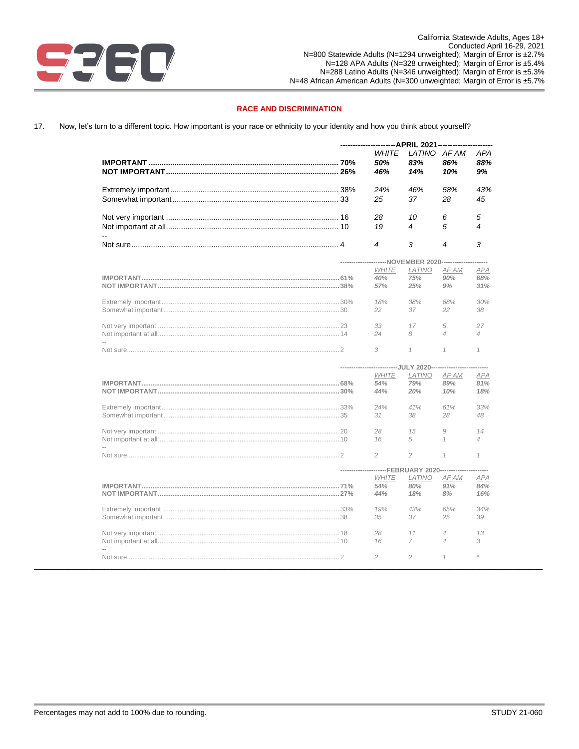

# **RACE AND DISCRIMINATION**

Now, let's turn to a different topic. How important is your race or ethnicity to your identity and how you think about yourself? 17.

|  | WHITE<br>50%<br>46%                                                    | LATINO AF AM<br>83%<br>14% | 86%<br>10%          | APA<br>88%<br>9%     |
|--|------------------------------------------------------------------------|----------------------------|---------------------|----------------------|
|  | 24%<br>25                                                              | 46%<br>37                  | 58%<br>28           | 43%<br>45            |
|  | 28<br>19                                                               | 10<br>4                    | 6<br>5              | 5<br>4               |
|  | 4                                                                      | 3                          | 4                   | 3                    |
|  | -----------------------NOVEMBER 2020-----------<br><b>WHITE</b><br>40% | LATINO<br>75%              | AF AM<br>90%        | <b>APA</b><br>68%    |
|  | 57%<br>18%<br>22                                                       | 25%<br>38%<br>37           | 9%<br>68%<br>22     | 31%<br>30%<br>38     |
|  | 33<br>24                                                               | 17<br>8                    | 5<br>$\overline{4}$ | 27<br>$\overline{4}$ |
|  | 3                                                                      | $\mathcal I$               | $\mathcal I$        | $\mathcal I$         |
|  | --------------------------JULY 2020------------------                  |                            |                     |                      |
|  | <b>WHITE</b>                                                           | <b>LATINO</b>              | AF AM               | <b>APA</b>           |
|  | 54%                                                                    | 79%                        | 89%                 | 81%                  |
|  | 44%                                                                    | 20%                        | 10%                 | 18%                  |
|  | 24%                                                                    | 41%                        | 61%                 | 33%                  |
|  | 31                                                                     | 38                         | 28                  | 48                   |
|  | 28                                                                     | 15                         | 9                   | 14                   |
|  | 16                                                                     | 5                          | $\mathcal I$        | 4                    |
|  | 2                                                                      | $\overline{c}$             | $\mathcal I$        | $\mathcal I$         |
|  | ---------------------FEBRUARY 2020--------------                       |                            |                     |                      |
|  | <b>WHITE</b>                                                           | LATINO                     | AF AM               | APA                  |
|  | 54%                                                                    | 80%                        | 91%                 | 84%                  |
|  | 44%                                                                    | 18%                        | 8%                  | 16%                  |
|  | 19%                                                                    | 43%                        | 65%                 | 34%                  |
|  | 35                                                                     | 37                         | 25                  | 39                   |
|  | 28                                                                     | 11                         | $\overline{4}$      | 13                   |
|  | 16                                                                     | 7                          | $\overline{4}$      | 3                    |
|  | $\mathfrak{D}$                                                         | $\overline{c}$             | 1                   |                      |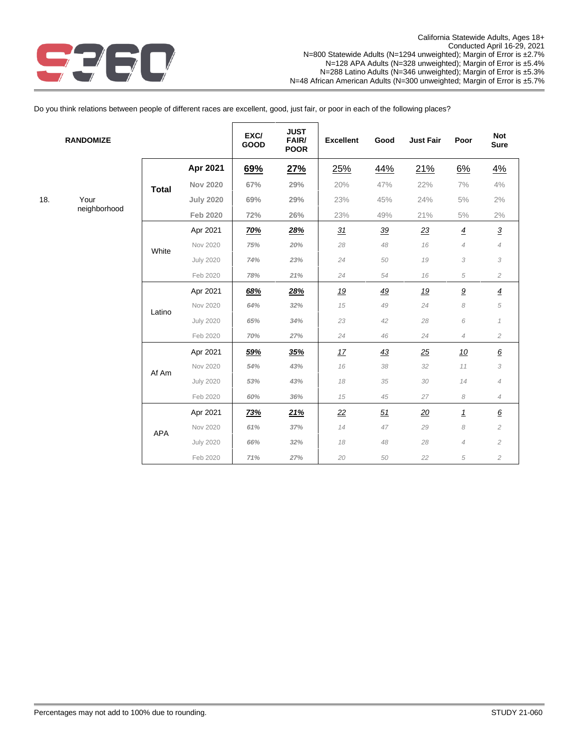

18.

Do you think relations between people of different races are excellent, good, just fair, or poor in each of the following places?

 $\overline{\Gamma}$ 

| <b>RANDOMIZE</b> |              |                  | EXC/<br>GOOD | <b>JUST</b><br>FAIR/<br><b>POOR</b> | <b>Excellent</b> | Good      | <b>Just Fair</b> | Poor                       | <b>Not</b><br><b>Sure</b> |
|------------------|--------------|------------------|--------------|-------------------------------------|------------------|-----------|------------------|----------------------------|---------------------------|
|                  |              | Apr 2021         | 69%          | 27%                                 | 25%              | 44%       | 21%              | 6%                         | 4%                        |
|                  | <b>Total</b> | <b>Nov 2020</b>  | 67%          | 29%                                 | 20%              | 47%       | 22%              | 7%                         | 4%                        |
| Your             |              | <b>July 2020</b> | 69%          | 29%                                 | 23%              | 45%       | 24%              | 5%                         | 2%                        |
| neighborhood     |              | <b>Feb 2020</b>  | 72%          | 26%                                 | 23%              | 49%       | 21%              | 5%                         | 2%                        |
|                  |              | Apr 2021         | <u>70%</u>   | 28%                                 | 31               | 39        | 23               | $\overline{4}$             | $\overline{3}$            |
|                  | White        | Nov 2020         | 75%          | 20%                                 | 28               | 48        | 16               | $\overline{4}$             | $\overline{4}$            |
|                  |              | <b>July 2020</b> | 74%          | 23%                                 | 24               | 50        | 19               | 3                          | 3                         |
|                  |              | Feb 2020         | 78%          | 21%                                 | 24               | 54        | 16               | 5                          | $\overline{c}$            |
|                  |              | Apr 2021         | 68%          | 28%                                 | <u>19</u>        | <u>49</u> | <u>19</u>        | $\underline{9}$            | $\overline{4}$            |
|                  | Latino       | Nov 2020         | 64%          | 32%                                 | 15               | 49        | 24               | $\boldsymbol{\mathcal{S}}$ | $\sqrt{5}$                |
|                  |              | <b>July 2020</b> | 65%          | 34%                                 | 23               | 42        | 28               | 6                          | $\mathcal I$              |
|                  |              | Feb 2020         | 70%          | 27%                                 | 24               | 46        | 24               | $\overline{4}$             | $\overline{c}$            |
|                  |              | Apr 2021         | 59%          | 35%                                 | 17               | 43        | 25               | 10                         | $\pmb{6}$                 |
|                  | Af Am        | Nov 2020         | 54%          | 43%                                 | 16               | 38        | 32               | 11                         | 3                         |
|                  |              | <b>July 2020</b> | 53%          | 43%                                 | 18               | 35        | 30               | 14                         | $\overline{4}$            |
|                  |              | Feb 2020         | 60%          | 36%                                 | 15               | 45        | 27               | 8                          | $\overline{4}$            |
|                  |              | Apr 2021         | <u>73%</u>   | 21%                                 | 22               | 51        | 20               | $\underline{\mathbf{1}}$   | $\underline{6}$           |
|                  | <b>APA</b>   | Nov 2020         | 61%          | 37%                                 | 14               | 47        | 29               | 8                          | $\overline{c}$            |
|                  |              | <b>July 2020</b> | 66%          | 32%                                 | 18               | 48        | 28               | $\overline{4}$             | $\overline{c}$            |
|                  |              | Feb 2020         | 71%          | 27%                                 | 20               | 50        | 22               | 5                          | $\overline{c}$            |

 $\overline{\phantom{a}}$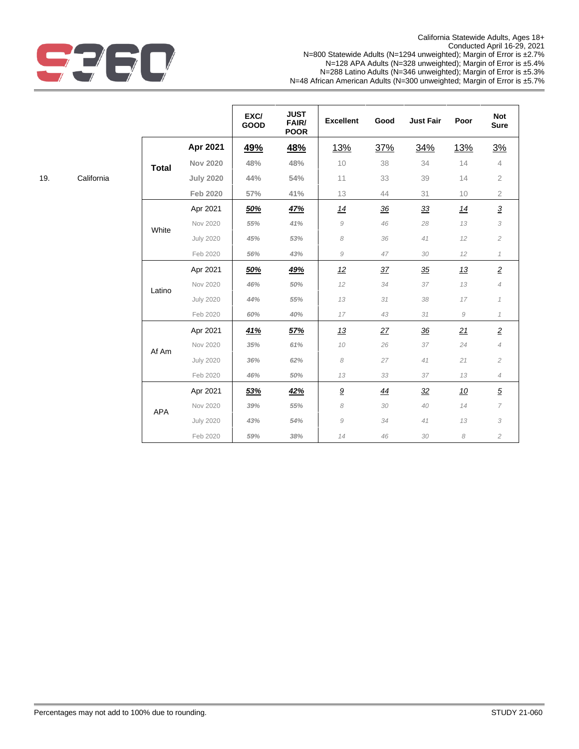

|     |            |              |                  | EXC/<br>GOOD | <b>JUST</b><br>FAIR/<br><b>POOR</b> | <b>Excellent</b> | Good           | <b>Just Fair</b> | Poor         | <b>Not</b><br><b>Sure</b> |
|-----|------------|--------------|------------------|--------------|-------------------------------------|------------------|----------------|------------------|--------------|---------------------------|
|     |            |              | Apr 2021         | <u>49%</u>   | 48%                                 | <u>13%</u>       | 37%            | 34%              | <u>13%</u>   | 3%                        |
|     |            | <b>Total</b> | <b>Nov 2020</b>  | 48%          | 48%                                 | 10               | 38             | 34               | 14           | 4                         |
| 19. | California |              | <b>July 2020</b> | 44%          | 54%                                 | 11               | 33             | 39               | 14           | $\overline{2}$            |
|     |            |              | Feb 2020         | 57%          | 41%                                 | 13               | 44             | 31               | 10           | $\mathbf{2}$              |
|     |            |              | Apr 2021         | 50%          | 47%                                 | 14               | $\frac{36}{5}$ | $\frac{33}{5}$   | 14           | $\underline{\mathbf{3}}$  |
|     |            | White        | Nov 2020         | 55%          | 41%                                 | $\mathcal G$     | 46             | 28               | 13           | 3                         |
|     |            |              | <b>July 2020</b> | 45%          | 53%                                 | 8                | 36             | 41               | 12           | $\overline{c}$            |
|     |            |              | Feb 2020         | 56%          | 43%                                 | $\mathcal G$     | 47             | 30               | 12           | $\mathcal{I}$             |
|     |            |              | Apr 2021         | 50%          | 49%                                 | 12               | 37             | 35               | 13           | $\underline{\mathbf{2}}$  |
|     |            | Latino       | Nov 2020         | 46%          | 50%                                 | 12               | 34             | 37               | 13           | $\overline{4}$            |
|     |            |              | <b>July 2020</b> | 44%          | 55%                                 | 13               | 31             | 38               | 17           | $\mathcal I$              |
|     |            |              | Feb 2020         | 60%          | 40%                                 | 17               | 43             | 31               | $\mathcal G$ | $\mathcal I$              |
|     |            |              | Apr 2021         | 41%          | 57%                                 | 13               | 27             | $\frac{36}{5}$   | 21           | $\overline{2}$            |
|     |            | Af Am        | Nov 2020         | 35%          | 61%                                 | 10               | 26             | 37               | 24           | $\overline{4}$            |
|     |            |              | <b>July 2020</b> | 36%          | 62%                                 | 8                | 27             | 41               | 21           | $\overline{c}$            |
|     |            |              | Feb 2020         | 46%          | 50%                                 | 13               | 33             | 37               | 13           | $\overline{4}$            |
|     |            |              | Apr 2021         | 53%          | 42%                                 | $\underline{9}$  | 44             | 32               | <u>10</u>    | $\overline{5}$            |
|     |            | <b>APA</b>   | Nov 2020         | 39%          | 55%                                 | 8                | 30             | 40               | 14           | 7                         |
|     |            |              | <b>July 2020</b> | 43%          | 54%                                 | $\mathcal G$     | 34             | 41               | 13           | 3                         |
|     |            |              | Feb 2020         | 59%          | 38%                                 | 14               | 46             | 30               | 8            | $\overline{c}$            |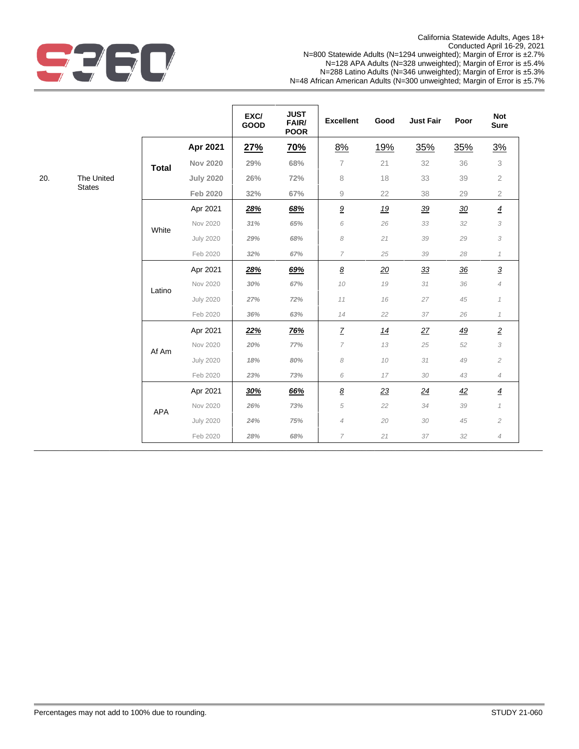

|     |               |              |                  | EXC/<br><b>GOOD</b> | <b>JUST</b><br>FAIR/ | <b>Excellent</b>           | Good       | <b>Just Fair</b> | Poor           | <b>Not</b><br><b>Sure</b> |
|-----|---------------|--------------|------------------|---------------------|----------------------|----------------------------|------------|------------------|----------------|---------------------------|
|     |               |              |                  |                     | <b>POOR</b>          |                            |            |                  |                |                           |
|     |               |              | Apr 2021         | 27%                 | <u>70%</u>           | 8%                         | <u>19%</u> | 35%              | 35%            | 3%                        |
|     |               | <b>Total</b> | <b>Nov 2020</b>  | 29%                 | 68%                  | $\overline{7}$             | 21         | 32               | 36             | 3                         |
| 20. | The United    |              | <b>July 2020</b> | 26%                 | 72%                  | 8                          | 18         | 33               | 39             | $\overline{2}$            |
|     | <b>States</b> |              | <b>Feb 2020</b>  | 32%                 | 67%                  | 9                          | 22         | 38               | 29             | $\overline{2}$            |
|     |               |              | Apr 2021         | 28%                 | 68%                  | $\underline{9}$            | <u>19</u>  | 39               | 30             | $\overline{4}$            |
|     |               |              | Nov 2020         | 31%                 | 65%                  | 6                          | 26         | 33               | 32             | 3                         |
|     |               | White        | <b>July 2020</b> | 29%                 | 68%                  | $\boldsymbol{\mathcal{S}}$ | 21         | 39               | 29             | 3                         |
|     |               |              | Feb 2020         | 32%                 | 67%                  | $\overline{7}$             | 25         | 39               | 28             | $\mathcal I$              |
|     |               |              | Apr 2021         | 28%                 | 69%                  | $\underline{\mathcal{B}}$  | 20         | 33               | $\frac{36}{5}$ | $\overline{3}$            |
|     |               | Latino       | Nov 2020         | 30%                 | 67%                  | 10                         | 19         | 31               | 36             | $\overline{4}$            |
|     |               |              | <b>July 2020</b> | 27%                 | 72%                  | 11                         | 16         | 27               | 45             | $\mathcal I$              |
|     |               |              | Feb 2020         | 36%                 | 63%                  | 14                         | 22         | 37               | 26             | $\mathcal I$              |
|     |               |              | Apr 2021         | 22%                 | <b>76%</b>           | $\overline{Z}$             | 14         | 27               | <u>49</u>      | $\underline{2}$           |
|     |               | Af Am        | Nov 2020         | 20%                 | 77%                  | 7                          | 13         | $25\,$           | 52             | 3                         |
|     |               |              | <b>July 2020</b> | 18%                 | 80%                  | 8                          | 10         | 31               | 49             | $\sqrt{2}$                |
|     |               |              | Feb 2020         | 23%                 | 73%                  | 6                          | 17         | 30               | 43             | $\overline{4}$            |
|     |               |              | Apr 2021         | 30%                 | 66%                  | $\underline{8}$            | 23         | $\overline{24}$  | 42             | $\overline{4}$            |
|     |               | APA          | Nov 2020         | 26%                 | 73%                  | $\sqrt{5}$                 | 22         | 34               | 39             | $\mathcal I$              |
|     |               |              | <b>July 2020</b> | 24%                 | 75%                  | $\overline{4}$             | 20         | 30               | 45             | $\mathbf{2}$              |
|     |               |              | Feb 2020         | 28%                 | 68%                  | 7                          | 21         | 37               | 32             | $\overline{4}$            |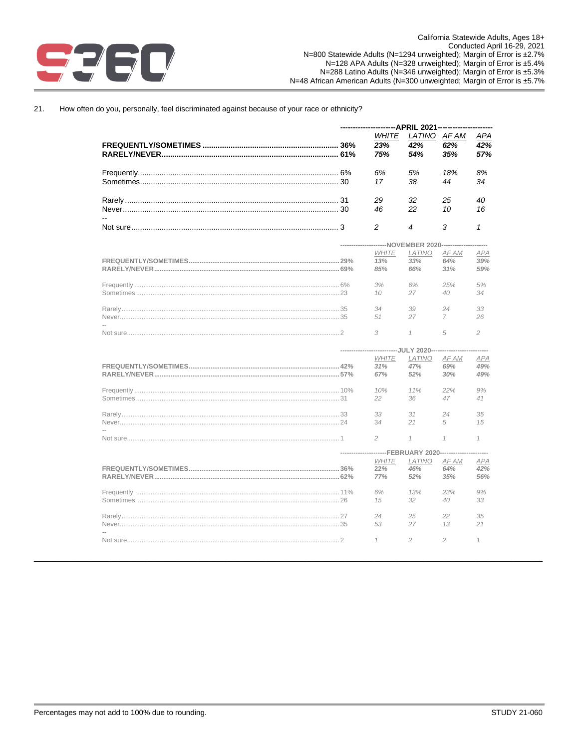

<u>TEER TITL</u>

#### $21.$ How often do you, personally, feel discriminated against because of your race or ethnicity?

| -APRIL 2021--- |                                                  |                             |                |                   |
|----------------|--------------------------------------------------|-----------------------------|----------------|-------------------|
|                | <b>WHITE</b><br>23%<br>75%                       | LATINO AF AM<br>42%<br>54%  | 62%<br>35%     | APA<br>42%<br>57% |
|                | 6%                                               | 5%                          | 18%            | 8%                |
|                | 17                                               | 38                          | 44             | 34                |
|                | 29<br>46                                         | 32<br>22                    | 25<br>10       | 40<br>16          |
|                | 2                                                | 4                           | 3              | 1                 |
|                | ---------------------NOVEMBER 2020-------------- |                             |                |                   |
|                | <b>WHITE</b>                                     | LATINO                      | AF AM          | <b>APA</b>        |
|                | 13%                                              | 33%                         | 64%            | 39%               |
|                |                                                  |                             |                |                   |
|                | 85%                                              | 66%                         | 31%            | 59%               |
|                | 3%                                               | 6%                          | 25%            | 5%                |
|                |                                                  |                             |                |                   |
|                | 10                                               | 27                          | 40             | 34                |
|                | 34                                               | 39                          | 24             | 33                |
|                |                                                  |                             |                |                   |
|                | 51                                               | 27                          | 7              | 26                |
|                | 3                                                | $\mathcal I$                | 5              | $\overline{c}$    |
|                |                                                  | ----------JULY 2020-------- |                |                   |
|                | <b>WHITE</b>                                     | LATINO                      | AF AM          | <b>APA</b>        |
|                |                                                  |                             |                |                   |
|                | 31%                                              | 47%                         | 69%            | 49%               |
|                | 67%                                              | 52%                         | 30%            | 49%               |
|                | 10%                                              | 11%                         | 22%            | 9%                |
|                |                                                  |                             |                |                   |
|                | 22                                               | 36                          | 47             | 41                |
|                | 33                                               | 31                          | 24             | 35                |
|                | 34                                               | 21                          | 5              | 15                |
|                |                                                  |                             |                |                   |
|                | $\overline{c}$                                   | $\mathcal I$                | $\mathcal{I}$  | $\mathcal I$      |
|                |                                                  | -------FEBRUARY 2020---     |                |                   |
|                | <b>WHITE</b>                                     | LATINO                      | AF AM          | <b>APA</b>        |
|                | 22%                                              | 46%                         | 64%            | 42%               |
|                | 77%                                              | 52%                         | 35%            | 56%               |
|                |                                                  |                             |                |                   |
|                | 6%                                               | 13%                         | 23%            | 9%                |
|                | 15                                               | 32                          | 40             | 33                |
|                | 24                                               | 25                          | 22             | 35                |
|                | 53                                               | 27                          | 13             | 21                |
|                |                                                  |                             |                |                   |
|                | 1                                                | $\overline{c}$              | $\overline{c}$ | $\mathcal I$      |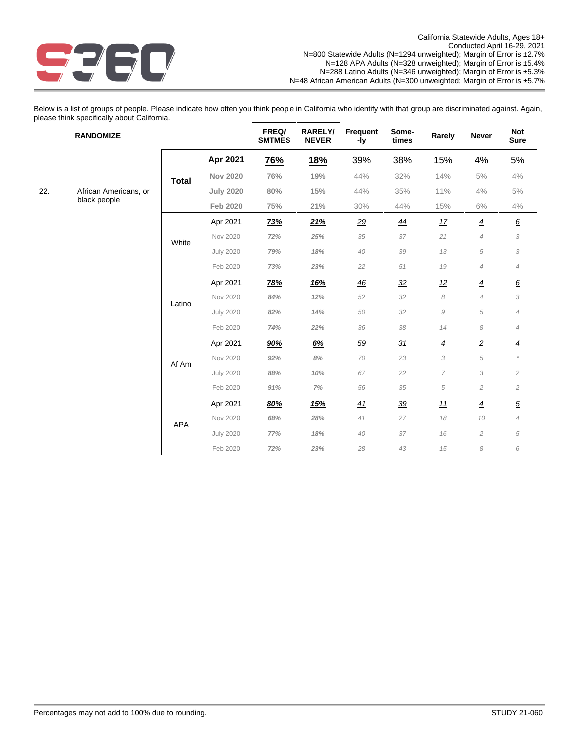

Below is a list of groups of people. Please indicate how often you think people in California who identify with that group are discriminated against. Again, please think specifically about California.  $\mathsf{r}$  $\overline{\phantom{0}}$ 

|     | <b>RANDOMIZE</b>      |              |                  | FREQ/<br><b>SMTMES</b> | RARELY/<br><b>NEVER</b> | Frequent<br>-ly | Some-<br>times | Rarely          | <b>Never</b>               | <b>Not</b><br><b>Sure</b> |
|-----|-----------------------|--------------|------------------|------------------------|-------------------------|-----------------|----------------|-----------------|----------------------------|---------------------------|
|     |                       |              | Apr 2021         | <b>76%</b>             | <u>18%</u>              | 39%             | 38%            | <u>15%</u>      | 4%                         | 5%                        |
|     |                       | <b>Total</b> | <b>Nov 2020</b>  | 76%                    | 19%                     | 44%             | 32%            | 14%             | 5%                         | 4%                        |
| 22. | African Americans, or |              | <b>July 2020</b> | 80%                    | 15%                     | 44%             | 35%            | 11%             | 4%                         | $5\%$                     |
|     | black people          |              | <b>Feb 2020</b>  | 75%                    | 21%                     | 30%             | 44%            | 15%             | 6%                         | 4%                        |
|     |                       |              | Apr 2021         | <b>73%</b>             | 21%                     | <u>29</u>       | <u>44</u>      | 17              | $\overline{4}$             | $\underline{6}$           |
|     |                       | White        | Nov 2020         | 72%                    | 25%                     | 35              | 37             | 21              | $\overline{4}$             | 3                         |
|     |                       |              | <b>July 2020</b> | 79%                    | 18%                     | 40              | 39             | 13              | $\sqrt{5}$                 | 3                         |
|     |                       |              | Feb 2020         | 73%                    | 23%                     | 22              | 51             | 19              | $\overline{4}$             | $\overline{4}$            |
|     |                       |              | Apr 2021         | <u>78%</u>             | <u>16%</u>              | <u>46</u>       | 32             | 12              | $\overline{4}$             | $\underline{6}$           |
|     |                       | Latino       | Nov 2020         | 84%                    | 12%                     | 52              | 32             | 8               | $\overline{4}$             | 3                         |
|     |                       |              | <b>July 2020</b> | 82%                    | 14%                     | 50              | 32             | $\mathcal G$    | 5                          | $\overline{4}$            |
|     |                       |              | Feb 2020         | 74%                    | 22%                     | 36              | 38             | 14              | $\boldsymbol{\mathcal{S}}$ | $\overline{4}$            |
|     |                       |              | Apr 2021         | 90%                    | 6%                      | 59              | 31             | $\underline{4}$ | $\overline{2}$             | $\overline{4}$            |
|     |                       | Af Am        | Nov 2020         | 92%                    | 8%                      | 70              | 23             | 3               | $\sqrt{5}$                 |                           |
|     |                       |              | <b>July 2020</b> | 88%                    | 10%                     | 67              | 22             | 7               | 3                          | $\overline{c}$            |
|     |                       |              | Feb 2020         | 91%                    | 7%                      | 56              | 35             | $\sqrt{5}$      | $\mathbf{2}$               | $\overline{c}$            |
|     |                       |              | Apr 2021         | 80%                    | <u>15%</u>              | 41              | $\frac{39}{5}$ | 11              | $\overline{4}$             | $\sqrt{5}$                |
|     |                       | <b>APA</b>   | Nov 2020         | 68%                    | 28%                     | 41              | 27             | 18              | 10                         | $\overline{4}$            |
|     |                       |              | <b>July 2020</b> | 77%                    | 18%                     | 40              | 37             | 16              | $\overline{c}$             | 5                         |
|     |                       |              | Feb 2020         | 72%                    | 23%                     | 28              | 43             | 15              | 8                          | 6                         |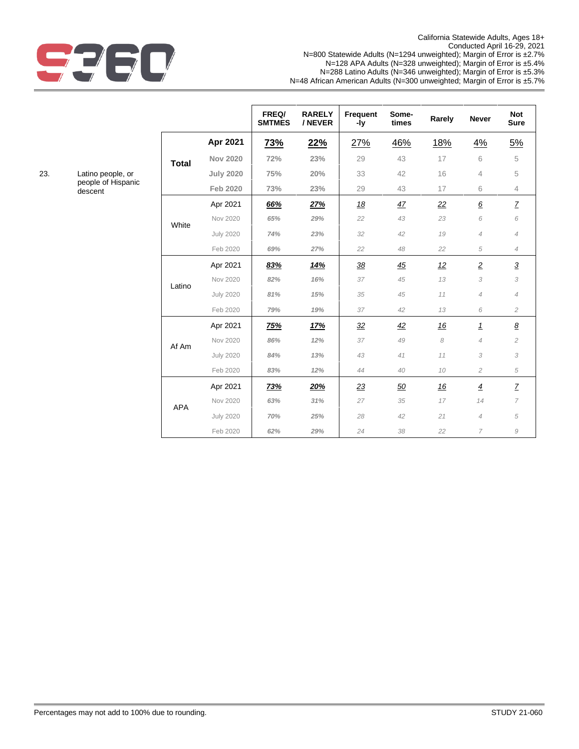

California Statewide Adults, Ages 18+ Conducted April 16-29, 2021 N=800 Statewide Adults (N=1294 unweighted); Margin of Error is ±2.7% N=128 APA Adults (N=328 unweighted); Margin of Error is ±5.4% N=288 Latino Adults (N=346 unweighted); Margin of Error is ±5.3% N=48 African American Adults (N=300 unweighted; Margin of Error is ±5.7%

|   |              |                  | FREQ/<br><b>SMTMES</b> | <b>RARELY</b><br>/ NEVER | <b>Frequent</b><br>-ly | Some-<br>times | Rarely | <b>Never</b>    | <b>Not</b><br><b>Sure</b> |
|---|--------------|------------------|------------------------|--------------------------|------------------------|----------------|--------|-----------------|---------------------------|
|   |              | Apr 2021         | <b>73%</b>             | 22%                      | 27%                    | 46%            | 18%    | 4%              | 5%                        |
|   | <b>Total</b> | <b>Nov 2020</b>  | 72%                    | 23%                      | 29                     | 43             | 17     | 6               | 5                         |
|   |              | <b>July 2020</b> | 75%                    | 20%                      | 33                     | 42             | 16     | $\overline{4}$  | 5                         |
| C |              | <b>Feb 2020</b>  | 73%                    | 23%                      | 29                     | 43             | 17     | 6               | $\overline{4}$            |
|   |              | Apr 2021         | 66%                    | 27%                      | 18                     | 47             | 22     | $\underline{6}$ | $\overline{Z}$            |
|   | White        | Nov 2020         | 65%                    | 29%                      | 22                     | 43             | 23     | 6               | 6                         |
|   |              | <b>July 2020</b> | 74%                    | 23%                      | 32                     | 42             | 19     | $\overline{4}$  | $\overline{4}$            |
|   |              | Feb 2020         | 69%                    | 27%                      | 22                     | 48             | 22     | 5               | $\overline{4}$            |
|   |              | Apr 2021         | 83%                    | 14%                      | 38                     | 45             | 12     | $\overline{2}$  | $\overline{3}$            |
|   | Latino       | Nov 2020         | 82%                    | 16%                      | 37                     | 45             | 13     | 3               | 3                         |
|   |              | <b>July 2020</b> | 81%                    | 15%                      | 35                     | 45             | 11     | $\overline{4}$  | $\overline{4}$            |
|   |              | Feb 2020         | 79%                    | 19%                      | 37                     | 42             | 13     | 6               | $\overline{c}$            |
|   |              | Apr 2021         | 75%                    | 17%                      | $\frac{32}{2}$         | 42             | 16     | $\overline{1}$  | $\underline{8}$           |
|   | Af Am        | Nov 2020         | 86%                    | 12%                      | 37                     | 49             | 8      | $\overline{4}$  | $\overline{c}$            |
|   |              | <b>July 2020</b> | 84%                    | 13%                      | 43                     | 41             | 11     | 3               | 3                         |
|   |              | Feb 2020         | 83%                    | 12%                      | 44                     | 40             | 10     | $\overline{c}$  | 5                         |
|   |              | Apr 2021         | 73%                    | 20%                      | 23                     | 50             | 16     | $\overline{4}$  | Z                         |
|   | <b>APA</b>   | Nov 2020         | 63%                    | 31%                      | 27                     | 35             | 17     | 14              | $\overline{7}$            |
|   |              | <b>July 2020</b> | 70%                    | 25%                      | 28                     | 42             | 21     | $\overline{4}$  | 5                         |
|   |              | Feb 2020         | 62%                    | 29%                      | 24                     | 38             | 22     | $\overline{7}$  | $\mathcal G$              |

23. Latino people, or people of Hispanic descent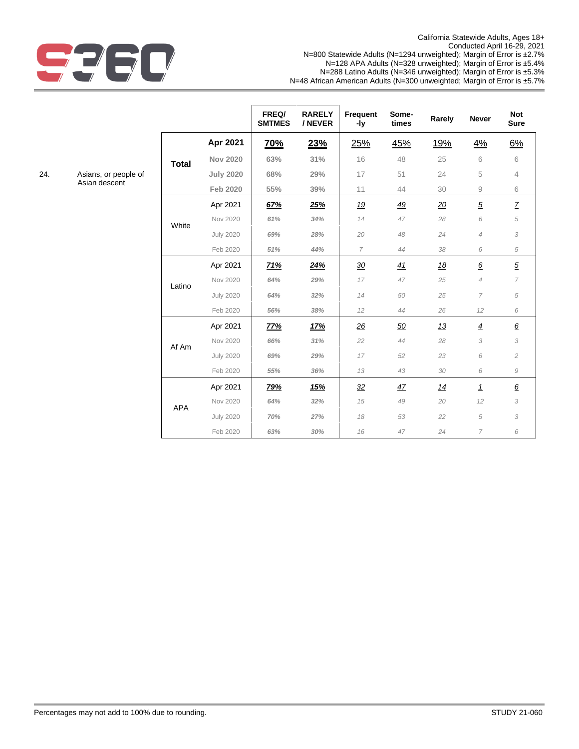

California Statewide Adults, Ages 18+ Conducted April 16-29, 2021 N=800 Statewide Adults (N=1294 unweighted); Margin of Error is ±2.7% N=128 APA Adults (N=328 unweighted); Margin of Error is ±5.4% N=288 Latino Adults (N=346 unweighted); Margin of Error is ±5.3% N=48 African American Adults (N=300 unweighted; Margin of Error is ±5.7%

|              |                  | FREQ/<br><b>SMTMES</b> | <b>RARELY</b><br>/ NEVER | <b>Frequent</b><br>-ly | Some-<br>times | Rarely | <b>Never</b>           | <b>Not</b><br><b>Sure</b> |
|--------------|------------------|------------------------|--------------------------|------------------------|----------------|--------|------------------------|---------------------------|
|              | Apr 2021         | <u>70%</u>             | 23%                      | 25%                    | 45%            | 19%    | 4%                     | 6%                        |
| <b>Total</b> | <b>Nov 2020</b>  | 63%                    | 31%                      | 16                     | 48             | 25     | 6                      | 6                         |
|              | <b>July 2020</b> | 68%                    | 29%                      | 17                     | 51             | 24     | 5                      | $\overline{4}$            |
|              | <b>Feb 2020</b>  | 55%                    | 39%                      | 11                     | 44             | 30     | $\mathrel{\mathsf{g}}$ | 6                         |
|              | Apr 2021         | 67%                    | 25%                      | 19                     | 49             | 20     | $\overline{5}$         | $\mathcal{I}$             |
| White        | Nov 2020         | 61%                    | 34%                      | 14                     | 47             | 28     | 6                      | 5                         |
|              | <b>July 2020</b> | 69%                    | 28%                      | 20                     | 48             | 24     | $\overline{4}$         | 3                         |
|              | Feb 2020         | 51%                    | 44%                      | $\overline{7}$         | 44             | 38     | 6                      | 5                         |
|              | Apr 2021         | 71%                    | 24%                      | 30                     | 41             | 18     | $\underline{6}$        | $\overline{5}$            |
| Latino       | Nov 2020         | 64%                    | 29%                      | 17                     | 47             | 25     | $\overline{4}$         | $\overline{7}$            |
|              | <b>July 2020</b> | 64%                    | 32%                      | 14                     | 50             | 25     | $\overline{7}$         | 5                         |
|              | Feb 2020         | 56%                    | 38%                      | 12                     | 44             | 26     | 12                     | 6                         |
|              | Apr 2021         | 77%                    | 17%                      | 26                     | 50             | 13     | $\overline{4}$         | $\underline{6}$           |
| Af Am        | Nov 2020         | 66%                    | 31%                      | 22                     | 44             | 28     | 3                      | 3                         |
|              | <b>July 2020</b> | 69%                    | 29%                      | 17                     | 52             | 23     | 6                      | $\overline{c}$            |
|              | Feb 2020         | 55%                    | 36%                      | 13                     | 43             | 30     | 6                      | 9                         |
|              | Apr 2021         | 79%                    | 15%                      | 32                     | 47             | 14     | $\mathbf{1}$           | $\underline{6}$           |
| <b>APA</b>   | Nov 2020         | 64%                    | 32%                      | 15                     | 49             | 20     | 12                     | 3                         |
|              | <b>July 2020</b> | 70%                    | 27%                      | 18                     | 53             | 22     | 5                      | 3                         |
|              | Feb 2020         | 63%                    | 30%                      | 16                     | 47             | 24     | $\overline{7}$         | 6                         |

24. Asians, or people of Asian descent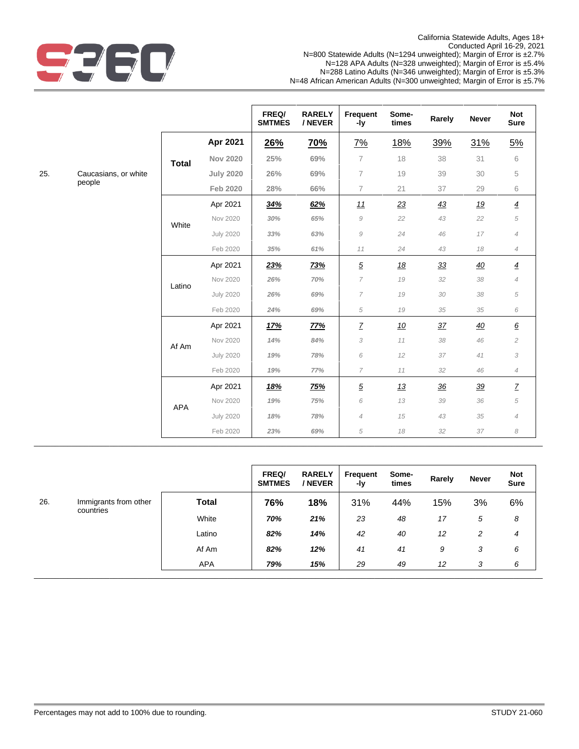

|     |                      |              |                  | FREQ/<br><b>SMTMES</b> | <b>RARELY</b><br>/ NEVER | Frequent<br>-ly | Some-<br>times | Rarely | <b>Never</b> | <b>Not</b><br><b>Sure</b> |
|-----|----------------------|--------------|------------------|------------------------|--------------------------|-----------------|----------------|--------|--------------|---------------------------|
|     |                      |              | Apr 2021         | <u>26%</u>             | <u>70%</u>               | 7%              | <u>18%</u>     | 39%    | 31%          | <u>5%</u>                 |
|     |                      | <b>Total</b> | <b>Nov 2020</b>  | 25%                    | 69%                      | 7               | 18             | 38     | 31           | 6                         |
| 25. | Caucasians, or white |              | <b>July 2020</b> | 26%                    | 69%                      | $\overline{7}$  | 19             | 39     | 30           | 5                         |
|     | people               |              | Feb 2020         | 28%                    | 66%                      | $\overline{7}$  | 21             | 37     | 29           | 6                         |
|     |                      |              | Apr 2021         | 34%                    | 62%                      | 11              | 23             | 43     | <u>19</u>    | $\overline{4}$            |
|     |                      |              | Nov 2020         | 30%                    | 65%                      | 9               | 22             | 43     | 22           | $\sqrt{5}$                |
|     |                      |              | <b>July 2020</b> | 33%                    | 63%                      | 9               | 24             | 46     | 17           | $\overline{4}$            |
|     |                      |              | Feb 2020         | 35%                    | 61%                      | 11              | 24             | 43     | 18           | $\overline{4}$            |
|     |                      |              | Apr 2021         | 23%                    | <u>73%</u>               | $\underline{5}$ | <u>18</u>      | 33     | 40           | $\overline{4}$            |
|     |                      | Latino       | Nov 2020         | 26%                    | 70%                      | 7               | 19             | 32     | 38           | $\overline{4}$            |
|     |                      |              | <b>July 2020</b> | 26%                    | 69%                      | 7               | 19             | 30     | 38           | 5                         |
|     |                      |              | Feb 2020         | 24%                    | 69%                      | 5               | 19             | 35     | 35           | 6                         |
|     |                      |              | Apr 2021         | <u>17%</u>             | <u>77%</u>               | $\underline{7}$ | <u>10</u>      | 37     | 40           | $\underline{6}$           |
|     |                      | Af Am        | Nov 2020         | 14%                    | 84%                      | 3               | 11             | 38     | 46           | $\overline{c}$            |
|     |                      |              | <b>July 2020</b> | 19%                    | 78%                      | 6               | 12             | 37     | 41           | 3                         |
|     |                      |              | Feb 2020         | 19%                    | 77%                      | 7               | 11             | 32     | 46           | $\overline{4}$            |
|     |                      |              | Apr 2021         | 18%                    | <u>75%</u>               | $\underline{5}$ | 13             | 36     | 39           | $\underline{\mathsf{Z}}$  |
|     |                      | APA          | Nov 2020         | 19%                    | 75%                      | 6               | 13             | 39     | 36           | $\sqrt{5}$                |
|     |                      |              | <b>July 2020</b> | 18%                    | 78%                      | $\overline{4}$  | $15\,$         | 43     | 35           | $\overline{4}$            |
|     |                      |              | Feb 2020         | 23%                    | 69%                      | 5               | 18             | $32\,$ | 37           | 8                         |

|           |                       |              | FREQ/<br><b>SMTMES</b> | <b>RARELY</b><br>/ NEVER | Frequent<br>-ly | Some-<br>times | Rarely | Never | <b>Not</b><br><b>Sure</b> |
|-----------|-----------------------|--------------|------------------------|--------------------------|-----------------|----------------|--------|-------|---------------------------|
| 26.       | Immigrants from other | <b>Total</b> | 76%                    | 18%                      | 31%             | 44%            | 15%    | 3%    | 6%                        |
| countries | White                 | 70%          | 21%                    | 23                       | 48              | 17             | 5      | 8     |                           |
|           |                       | Latino       | 82%                    | 14%                      | 42              | 40             | 12     | 2     | 4                         |
|           |                       | Af Am        | 82%                    | 12%                      | 41              | 41             | 9      | 3     | 6                         |
|           |                       | <b>APA</b>   | 79%                    | 15%                      | 29              | 49             | 12     | 3     | 6                         |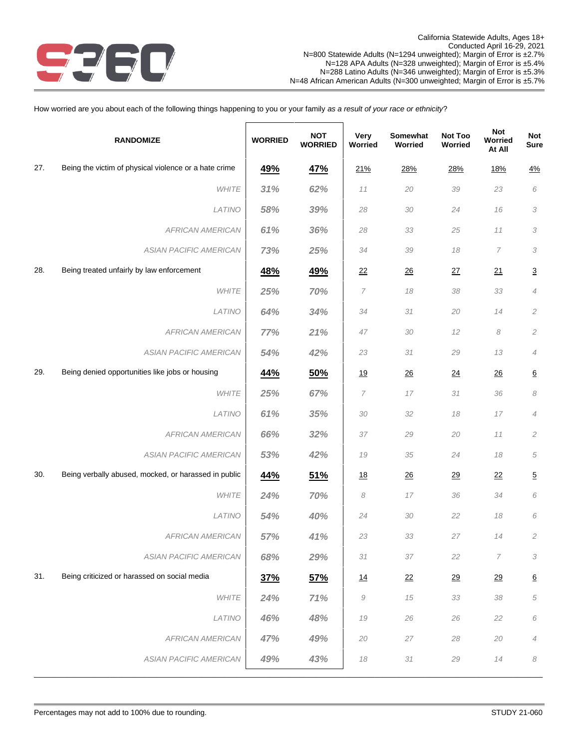

How worried are you about each of the following things happening to you or your family *as a result of your race or ethnicity*?

|     | <b>RANDOMIZE</b>                                      | <b>WORRIED</b> | <b>NOT</b><br><b>WORRIED</b> | Very<br>Worried | Somewhat<br>Worried | Not Too<br>Worried | Not<br>Worried<br>At All | Not<br><b>Sure</b> |
|-----|-------------------------------------------------------|----------------|------------------------------|-----------------|---------------------|--------------------|--------------------------|--------------------|
| 27. | Being the victim of physical violence or a hate crime | 49%            | 47%                          | 21%             | 28%                 | 28%                | <u>18%</u>               | 4%                 |
|     | <b>WHITE</b>                                          | 31%            | 62%                          | 11              | 20                  | 39                 | 23                       | 6                  |
|     | LATINO                                                | 58%            | 39%                          | 28              | 30                  | 24                 | 16                       | 3                  |
|     | <b>AFRICAN AMERICAN</b>                               | 61%            | 36%                          | 28              | 33                  | 25                 | 11                       | 3                  |
|     | ASIAN PACIFIC AMERICAN                                | 73%            | 25%                          | 34              | 39                  | 18                 | 7                        | 3                  |
| 28. | Being treated unfairly by law enforcement             | 48%            | 49%                          | 22              | $\frac{26}{5}$      | 27                 | 21                       | $\overline{3}$     |
|     | <b>WHITE</b>                                          | 25%            | 70%                          | $\overline{7}$  | 18                  | 38                 | 33                       | $\overline{4}$     |
|     | LATINO                                                | 64%            | 34%                          | 34              | 31                  | 20                 | 14                       | $\mathfrak{2}$     |
|     | <b>AFRICAN AMERICAN</b>                               | 77%            | 21%                          | 47              | 30                  | 12                 | 8                        | $\mathfrak{2}$     |
|     | ASIAN PACIFIC AMERICAN                                | 54%            | 42%                          | 23              | 31                  | 29                 | 13                       | $\overline{4}$     |
| 29. | Being denied opportunities like jobs or housing       | 44%            | 50%                          | <u>19</u>       | 26                  | 24                 | 26                       | $\underline{6}$    |
|     | <b>WHITE</b>                                          | 25%            | 67%                          | 7               | 17                  | 31                 | 36                       | 8                  |
|     | LATINO                                                | 61%            | 35%                          | 30              | 32                  | 18                 | 17                       | $\overline{4}$     |
|     | <b>AFRICAN AMERICAN</b>                               | 66%            | 32%                          | 37              | 29                  | 20                 | 11                       | $\mathfrak{2}$     |
|     | ASIAN PACIFIC AMERICAN                                | 53%            | 42%                          | 19              | 35                  | 24                 | 18                       | 5                  |
| 30. | Being verbally abused, mocked, or harassed in public  | 44%            | 51%                          | <u>18</u>       | 26                  | 29                 | 22                       | $\overline{5}$     |
|     | <b>WHITE</b>                                          | 24%            | 70%                          | 8               | 17                  | 36                 | 34                       | 6                  |
|     | LATINO                                                | 54%            | 40%                          | 24              | 30                  | 22                 | 18                       | 6                  |
|     | <b>AFRICAN AMERICAN</b>                               | 57%            | 41%                          | 23              | 33                  | 27                 | 14                       | $\mathfrak{2}$     |
|     | ASIAN PACIFIC AMERICAN                                | 68%            | 29%                          | 31              | 37                  | 22                 | 7                        | 3                  |
| 31. | Being criticized or harassed on social media          | <u>37%</u>     | <u>57%</u>                   | 14              | $\overline{22}$     | 29                 | $\overline{29}$          | $6\overline{6}$    |
|     | WHITE                                                 | 24%            | 71%                          | $\mathcal G$    | 15                  | 33                 | 38                       | 5                  |
|     | LATINO                                                | 46%            | 48%                          | 19              | 26                  | 26                 | 22                       | 6                  |
|     | <b>AFRICAN AMERICAN</b>                               | 47%            | 49%                          | 20              | 27                  | 28                 | 20                       | $\overline{4}$     |
|     | ASIAN PACIFIC AMERICAN                                | 49%            | 43%                          | $18\,$          | $31\,$              | 29                 | 14                       | 8                  |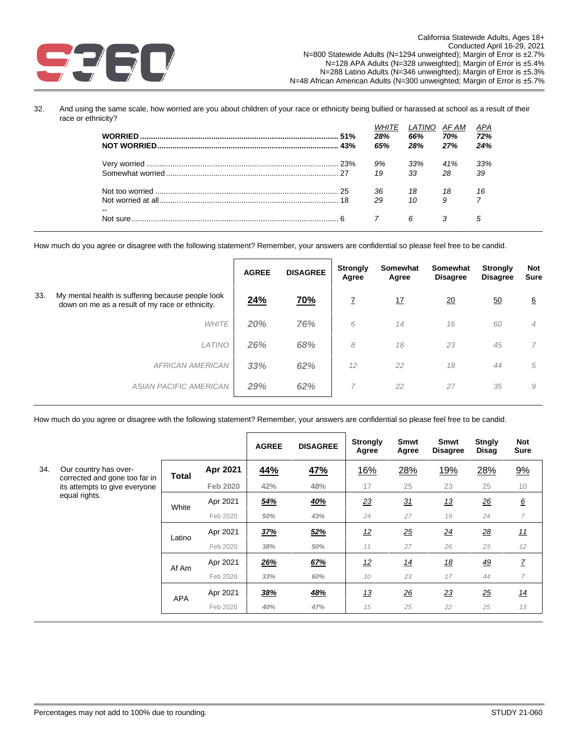

32. And using the same scale, how worried are you about children of your race or ethnicity being bullied or harassed at school as a result of their race or ethnicity?

|    | 28%<br>65% | <i>LATINO</i><br>66%<br>28% | AF AM<br>70%<br>27% | APA<br>72%<br>24% |
|----|------------|-----------------------------|---------------------|-------------------|
|    | 9%         | 33%                         | 41%                 | 33%               |
|    | 19         | 33                          | 28                  | 39                |
|    | 36         | 18                          | 18                  | 16                |
| -- | 29         | 10                          | 9                   |                   |
|    |            | 6                           |                     | 5                 |

How much do you agree or disagree with the following statement? Remember, your answers are confidential so please feel free to be candid.

|     |                                                                                                      | <b>AGREE</b> | <b>DISAGREE</b> | <b>Strongly</b><br>Agree | Somewhat<br>Agree | <b>Somewhat</b><br><b>Disagree</b> | <b>Strongly</b><br><b>Disagree</b> | Not<br><b>Sure</b> |
|-----|------------------------------------------------------------------------------------------------------|--------------|-----------------|--------------------------|-------------------|------------------------------------|------------------------------------|--------------------|
| 33. | My mental health is suffering because people look<br>down on me as a result of my race or ethnicity. | 24%          | <u>70%</u>      | Z                        | <u>17</u>         | $\overline{20}$                    | 50                                 | $6\overline{6}$    |
|     | <b>WHITE</b>                                                                                         | 20%          | 76%             | 6                        | 14                | 16                                 | 60                                 | $\overline{4}$     |
|     | <b>LATINO</b>                                                                                        | 26%          | 68%             | 8                        | 18                | 23                                 | 45                                 |                    |
|     | <b>AFRICAN AMERICAN</b>                                                                              | 33%          | 62%             | 12                       | 22                | 18                                 | 44                                 | 5                  |
|     | <b>ASIAN PACIFIC AMERICAN</b>                                                                        | 29%          | 62%             | 7                        | 22                | 27                                 | 35                                 | 9                  |
|     |                                                                                                      |              |                 |                          |                   |                                    |                                    |                    |

How much do you agree or disagree with the following statement? Remember, your answers are confidential so please feel free to be candid.

|     |                                                        |              |                 | <b>AGREE</b> | <b>DISAGREE</b> | <b>Strongly</b><br>Agree | Smwt<br>Agree | Smwt<br><b>Disagree</b> | <b>Stngly</b><br><b>Disag</b> | <b>Not</b><br><b>Sure</b> |
|-----|--------------------------------------------------------|--------------|-----------------|--------------|-----------------|--------------------------|---------------|-------------------------|-------------------------------|---------------------------|
| 34. | Our country has over-<br>corrected and gone too far in | <b>Total</b> | Apr 2021        | 44%          | <u>47%</u>      | 16%                      | 28%           | <u>19%</u>              | 28%                           | 9%                        |
|     | its attempts to give everyone                          |              | <b>Feb 2020</b> | 42%          | 48%             | 17                       | 25            | 23                      | 25                            | 10                        |
|     | equal rights.                                          | White        | Apr 2021        | 54%          | <u>40%</u>      | 23                       | 31            | <u>13</u>               | 26                            | $\underline{6}$           |
|     |                                                        |              | Feb 2020        | 50%          | 43%             | 24                       | 27            | 19                      | 24                            | 7                         |
|     |                                                        | Latino       | Apr 2021        | 37%          | 52%             | <u>12</u>                | 25            | 24                      | 28                            | <u>11</u>                 |
|     |                                                        |              | Feb 2020        | 38%          | 50%             | 11                       | 27            | 26                      | 23                            | 12                        |
|     |                                                        | Af Am        | Apr 2021        | 26%          | 67%             | 12                       | 14            | <u>18</u>               | <u>49</u>                     | Z                         |
|     |                                                        |              | Feb 2020        | 33%          | 60%             | 10                       | 23            | 17                      | 44                            | 7                         |
|     |                                                        | <b>APA</b>   | Apr 2021        | 38%          | <b>48%</b>      | 13                       | 26            | 23                      | 25                            | 14                        |
|     |                                                        |              | Feb 2020        | 40%          | 47%             | 15                       | 25            | 22                      | 25                            | 13                        |
|     |                                                        |              |                 |              |                 |                          |               |                         |                               |                           |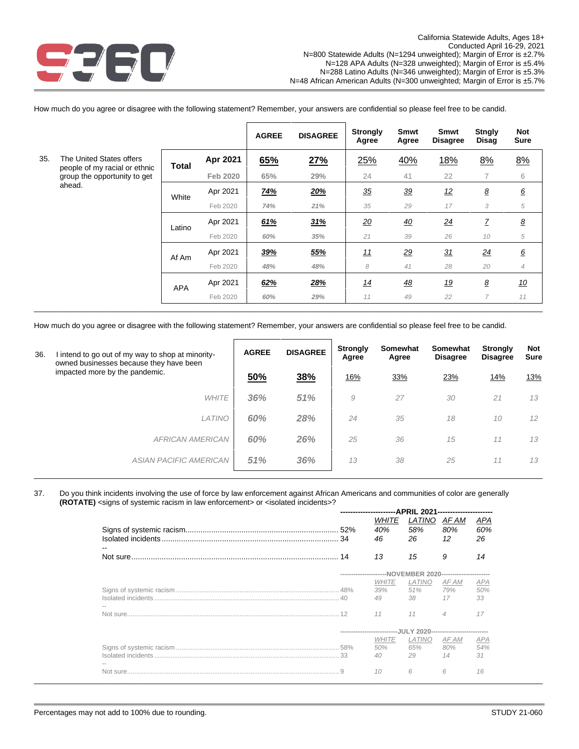

How much do you agree or disagree with the following statement? Remember, your answers are confidential so please feel free to be candid.

|     |                                                               |            |          | <b>AGREE</b> | <b>DISAGREE</b> | <b>Strongly</b><br>Agree | Smwt<br>Agree | Smwt<br><b>Disagree</b> | <b>Stngly</b><br>Disag    | <b>Not</b><br><b>Sure</b> |
|-----|---------------------------------------------------------------|------------|----------|--------------|-----------------|--------------------------|---------------|-------------------------|---------------------------|---------------------------|
| 35. | The United States offers                                      | Total      | Apr 2021 | 65%          | 27%             | 25%                      | 40%           | 18%                     | 8%                        | 8%                        |
|     | people of my racial or ethnic<br>group the opportunity to get |            | Feb 2020 | 65%          | 29%             | 24                       | 41            | 22                      | 7                         | 6                         |
|     | ahead.                                                        | White      | Apr 2021 | <u>74%</u>   | 20%             | $\frac{35}{5}$           | 39            | <u>12</u>               | $\pmb{8}$                 | $\underline{6}$           |
|     |                                                               |            | Feb 2020 | 74%          | 21%             | 35                       | 29            | 17                      | 3                         | 5                         |
|     |                                                               | Latino     | Apr 2021 | 61%          | 31%             | <u>20</u>                | 40            | $\overline{24}$         | $\ensuremath{\mathsf{Z}}$ | $\pmb{8}$                 |
|     |                                                               |            | Feb 2020 | 60%          | 35%             | 21                       | 39            | 26                      | 10                        | 5                         |
|     |                                                               | Af Am      | Apr 2021 | 39%          | <u>55%</u>      | <u>11</u>                | <u>29</u>     | 31                      | 24                        | $\underline{6}$           |
|     |                                                               |            | Feb 2020 | 48%          | 48%             | 8                        | 41            | 28                      | 20                        | $\overline{4}$            |
|     |                                                               | <b>APA</b> | Apr 2021 | 62%          | 28%             | <u> 14</u>               | <u>48</u>     | <u>19</u>               | $\pmb{8}$                 | <u>10</u>                 |
|     |                                                               |            | Feb 2020 | 60%          | 29%             | 11                       | 49            | 22                      | $\overline{7}$            | 11                        |
|     |                                                               |            |          |              |                 |                          |               |                         |                           |                           |

How much do you agree or disagree with the following statement? Remember, your answers are confidential so please feel free to be candid.

| 36. | l intend to go out of my way to shop at minority-<br>owned businesses because they have been | <b>AGREE</b> | <b>DISAGREE</b> | <b>Strongly</b><br>Agree | Somewhat<br>Agree | Somewhat<br><b>Disagree</b> | <b>Strongly</b><br><b>Disagree</b> | <b>Not</b><br><b>Sure</b> |
|-----|----------------------------------------------------------------------------------------------|--------------|-----------------|--------------------------|-------------------|-----------------------------|------------------------------------|---------------------------|
|     | impacted more by the pandemic.                                                               | 50%          | 38%             | 16%                      | 33%               | 23%                         | 14%                                | <u>13%</u>                |
|     | <b>WHITE</b>                                                                                 | 36%          | 51%             | 9                        | 27                | 30                          | 21                                 | 13                        |
|     | <b>LATINO</b>                                                                                | 60%          | 28%             | 24                       | 35                | 18                          | 10                                 | 12                        |
|     | <b>AFRICAN AMERICAN</b>                                                                      | 60%          | 26%             | 25                       | 36                | 15                          | 11                                 | 13                        |
|     | ASIAN PACIFIC AMERICAN                                                                       | 51%          | 36%             | 13                       | 38                | 25                          | 11                                 | 13                        |
|     |                                                                                              |              |                 |                          |                   |                             |                                    |                           |

#### 37. Do you think incidents involving the use of force by law enforcement against African Americans and communities of color are generally **(ROTATE)** <signs of systemic racism in law enforcement> or <isolated incidents>? **----------------------APRIL 2021----------------------**

| <i>WHITE</i> | LATINO     | AF AM          |                                                                                                                                                 |
|--------------|------------|----------------|-------------------------------------------------------------------------------------------------------------------------------------------------|
| 40%<br>46    | 58%<br>26  | 80%<br>12      | APA<br>60%<br>26                                                                                                                                |
| 13           | 15         | 9              | 14                                                                                                                                              |
|              |            |                |                                                                                                                                                 |
| <i>WHITE</i> | LATINO     | AF AM          | APA                                                                                                                                             |
| 49           | 38.        | 17             | 33                                                                                                                                              |
| 11           | 11         | $\overline{4}$ | 17                                                                                                                                              |
|              |            |                |                                                                                                                                                 |
| <i>WHITE</i> | LATINO     | AF AM          | <b>APA</b><br>54%                                                                                                                               |
| 40           | 29         | 14             | 31                                                                                                                                              |
| 10           | 6          | 6              | 16                                                                                                                                              |
|              | 39%<br>50% | 51%<br>65%     | ----------------------NOVEMBER 2020-----------------------<br>79% 50%<br>---------------------------JULY 2020---------------------------<br>80% |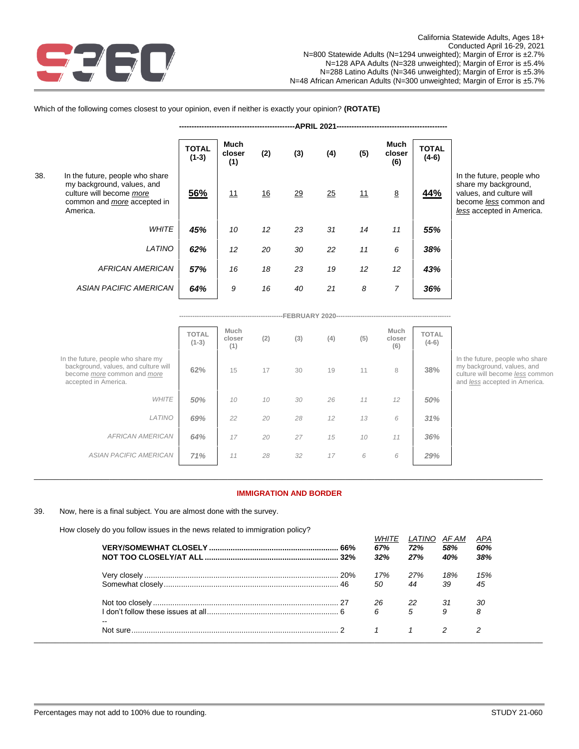

Which of the following comes closest to your opinion, even if neither is exactly your opinion? **(ROTATE)**

|     |                                                                                                                                             |                         |                       |           | <b>APRIL 2021</b> |     |     |                       |                  |
|-----|---------------------------------------------------------------------------------------------------------------------------------------------|-------------------------|-----------------------|-----------|-------------------|-----|-----|-----------------------|------------------|
|     |                                                                                                                                             | <b>TOTAL</b><br>$(1-3)$ | Much<br>closer<br>(1) | (2)       | (3)               | (4) | (5) | Much<br>closer<br>(6) | TOTAL<br>$(4-6)$ |
| 38. | In the future, people who share<br>my background, values, and<br>culture will become more<br>common and <i>more</i> accepted in<br>America. | 56%                     | 11                    | <u>16</u> | 29                | 25  | 11  | 8                     | 44%              |
|     | <b>WHITE</b>                                                                                                                                | 45%                     | 10                    | 12        | 23                | 31  | 14  | 11                    | 55%              |
|     | LATINO                                                                                                                                      | 62%                     | 12                    | 20        | 30                | 22  | 11  | 6                     | 38%              |
|     | <b>AFRICAN AMERICAN</b>                                                                                                                     | 57%                     | 16                    | 18        | 23                | 19  | 12  | 12                    | 43%              |
|     | <b>ASIAN PACIFIC AMERICAN</b>                                                                                                               | 64%                     | 9                     | 16        | 40                | 21  | 8   | 7                     | 36%              |

In the future, people who share my background, values, and culture will become *less* common and *less* accepted in America.

|                                                                                                                                                 |                         |                       |     | -FEBRUARY |     |     |                       |                         |                         |
|-------------------------------------------------------------------------------------------------------------------------------------------------|-------------------------|-----------------------|-----|-----------|-----|-----|-----------------------|-------------------------|-------------------------|
|                                                                                                                                                 | <b>TOTAL</b><br>$(1-3)$ | Much<br>closer<br>(1) | (2) | (3)       | (4) | (5) | Much<br>closer<br>(6) | <b>TOTAL</b><br>$(4-6)$ |                         |
| In the future, people who share my<br>background, values, and culture will<br>become <i>more</i> common and <i>more</i><br>accepted in America. | 62%                     | 15                    | 17  | 30        | 19  | 11  | 8                     | 38%                     | ln 1<br>my<br>cul<br>an |
| <b>WHITE</b>                                                                                                                                    | 50%                     | 10                    | 10  | 30        | 26  | 11  | 12                    | 50%                     |                         |
| LATINO                                                                                                                                          | 69%                     | 22                    | 20  | 28        | 12  | 13  | 6                     | 31%                     |                         |
| <b>AFRICAN AMERICAN</b>                                                                                                                         | 64%                     | 17                    | 20  | 27        | 15  | 10  | 11                    | 36%                     |                         |
| ASIAN PACIFIC AMERICAN                                                                                                                          | 71%                     | 11                    | 28  | 32        | 17  | 6   | 6                     | 29%                     |                         |
|                                                                                                                                                 |                         |                       |     |           |     |     |                       |                         |                         |

the future, people who share background, values, and lture will become *less* common d *less* accepted in America.

*WHITE LATINO AF AM APA*

# \_\_\_\_\_\_\_\_\_\_\_\_\_\_\_\_\_\_\_\_\_\_\_\_\_\_\_\_\_\_\_\_\_\_\_\_\_\_\_\_\_\_\_\_\_\_\_\_\_\_\_\_\_\_\_\_\_\_\_\_\_\_\_\_\_\_\_\_\_\_\_\_\_\_\_\_\_\_\_\_\_\_\_\_\_\_\_\_\_\_\_\_\_\_\_\_\_\_\_\_\_\_\_\_\_\_\_\_\_\_\_\_\_\_\_\_\_\_\_\_\_ **IMMIGRATION AND BORDER**

39. Now, here is a final subject. You are almost done with the survey.

How closely do you follow issues in the news related to immigration policy?

|       | WHILE<br>67%<br>32%                | LAIINU AFAM<br>72%<br>27% | 58%<br>40% | APA<br>60%<br>38% |
|-------|------------------------------------|---------------------------|------------|-------------------|
|       | 17%<br>50                          | 27%<br>44                 | 18%<br>39  | 15%<br>45         |
| $- -$ | 26<br>$\sim$ 22<br>$6\overline{6}$ | 5                         | -31<br>9   | -30<br>8          |
|       |                                    |                           |            |                   |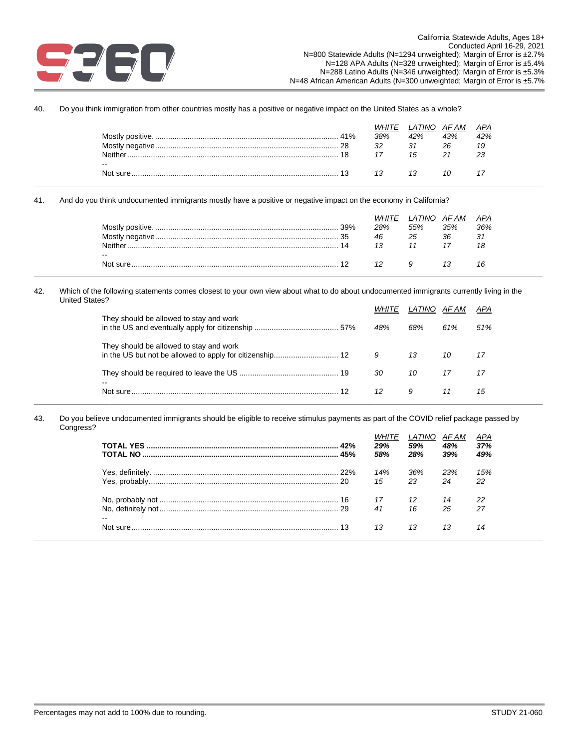

40. Do you think immigration from other countries mostly has a positive or negative impact on the United States as a whole?

| 26<br>32<br>31<br>19      |  | 41% | 38% | .ATINO<br>42% | AF AM<br>43% | APA<br>42% |
|---------------------------|--|-----|-----|---------------|--------------|------------|
|                           |  |     |     |               |              |            |
| Neither.<br>23<br>15      |  |     |     |               |              |            |
|                           |  |     |     |               |              |            |
| $\sim$ $\sim$<br>Not sure |  |     |     |               |              |            |
|                           |  |     |     |               |              |            |

41. And do you think undocumented immigrants mostly have a positive or negative impact on the economy in California?

|           |     | .ATINO |     | APA |
|-----------|-----|--------|-----|-----|
|           | 28% | 55%    | 35% | 36% |
|           | 46  | 25     | 36  | 31  |
| Neither   |     |        |     | 18  |
| $- -$     |     |        |     |     |
| Not sure. |     |        |     |     |
|           |     |        |     |     |

42. Which of the following statements comes closest to your own view about what to do about undocumented immigrants currently living in the United States?

| They should be allowed to stay and work | <i>WHITE</i> | LATINO AFAM |     | APA |
|-----------------------------------------|--------------|-------------|-----|-----|
|                                         | 48%          | 68%         | 61% | 51% |
| They should be allowed to stay and work | 9            | 13          | 10  | 17  |
| $\overline{\phantom{a}}$                | 30           | 10          |     |     |
|                                         | 12           | 9           |     | 15  |

43. Do you believe undocumented immigrants should be eligible to receive stimulus payments as part of the COVID relief package passed by Congress?

|    | 45% | 29%<br>58% | LATINO<br>59%<br>28% | AF AM<br>48%<br>39% | APA<br>37%<br>49% |
|----|-----|------------|----------------------|---------------------|-------------------|
|    |     | 14%<br>15  | 36%<br>23            | 23%<br>24           | 15%<br>22         |
| -- |     | 17<br>41   | 16                   | 14<br>25            | 22<br>27          |
|    |     | 13         | 13                   | 13                  | 14                |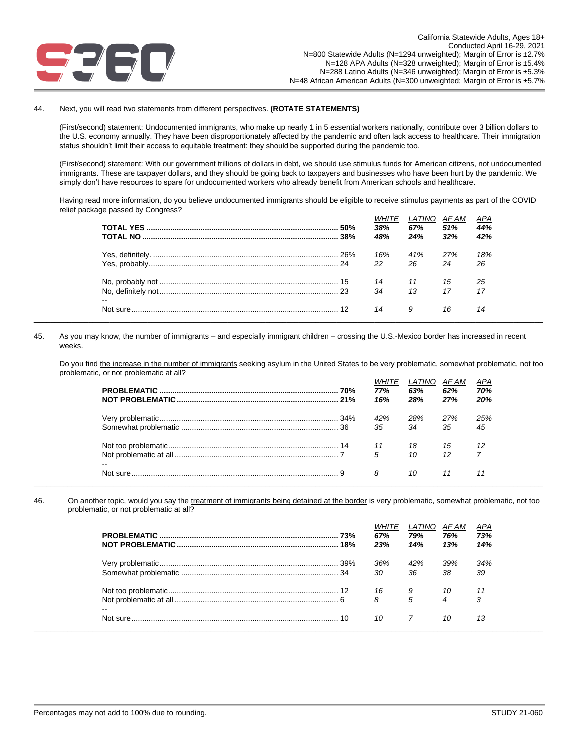

### 44. Next, you will read two statements from different perspectives. **(ROTATE STATEMENTS)**

(First/second) statement: Undocumented immigrants, who make up nearly 1 in 5 essential workers nationally, contribute over 3 billion dollars to the U.S. economy annually. They have been disproportionately affected by the pandemic and often lack access to healthcare. Their immigration status shouldn't limit their access to equitable treatment: they should be supported during the pandemic too.

(First/second) statement: With our government trillions of dollars in debt, we should use stimulus funds for American citizens, not undocumented immigrants. These are taxpayer dollars, and they should be going back to taxpayers and businesses who have been hurt by the pandemic. We simply don't have resources to spare for undocumented workers who already benefit from American schools and healthcare.

Having read more information, do you believe undocumented immigrants should be eligible to receive stimulus payments as part of the COVID relief package passed by Congress? *WHITE LATINO AF AM APA*

|    | .50% | WHILE<br>38%<br>48% | LAIINO AFAM<br>67%<br>24% | 51%<br>32% | APA<br>44%<br>42% |
|----|------|---------------------|---------------------------|------------|-------------------|
|    |      | 16%<br>22           | 41%<br>26                 | 27%<br>24  | 18%<br>26         |
| -- |      | 14<br>34            | 13                        | 15<br>17   | 25<br>17          |
|    |      | 14                  | 9                         | 16         | 14                |

45. As you may know, the number of immigrants – and especially immigrant children – crossing the U.S.-Mexico border has increased in recent weeks.

Do you find the increase in the number of immigrants seeking asylum in the United States to be very problematic, somewhat problematic, not too problematic, or not problematic at all?

|                            | <i>WHITE</i><br>77%<br>16% | LATINO<br>63%<br>28% | AF AM<br>62%<br>27% | <u>APA</u><br>70%<br>20% |
|----------------------------|----------------------------|----------------------|---------------------|--------------------------|
|                            | 42%                        | 28%                  | 27%                 | 25%                      |
|                            | 35                         | 34                   | 35                  | 45                       |
|                            |                            | 18 15                | $\overline{12}$     |                          |
|                            | 5                          | 10                   | $12 \overline{7}$   |                          |
| $\overline{\phantom{a}}$ 8 |                            | 10                   | 11                  |                          |

46. On another topic, would you say the treatment of immigrants being detained at the border is very problematic, somewhat problematic, not too problematic, or not problematic at all?

\_\_\_\_\_\_\_\_\_\_\_\_\_\_\_\_\_\_\_\_\_\_\_\_\_\_\_\_\_\_\_\_\_\_\_\_\_\_\_\_\_\_\_\_\_\_\_\_\_\_\_\_\_\_\_\_\_\_\_\_\_\_\_\_\_\_\_\_\_\_\_\_\_\_\_\_\_\_\_\_\_\_\_\_\_\_\_\_\_\_\_\_\_\_\_\_\_\_\_\_\_\_\_\_\_\_\_\_\_\_\_\_\_\_\_\_\_\_\_\_\_

|       | 18% | 67%<br>23% | LATINO<br>79%<br>14% | AF AM<br>76%<br>13% | APA<br>73%<br>14% |
|-------|-----|------------|----------------------|---------------------|-------------------|
|       |     | 36%<br>30  | 42%<br>36            | 39%<br>38           | 34%<br>39         |
| $- -$ |     | 16<br>8    | 5                    | $\overline{4}$      | 3                 |
|       |     | 10         |                      | 10                  | 13                |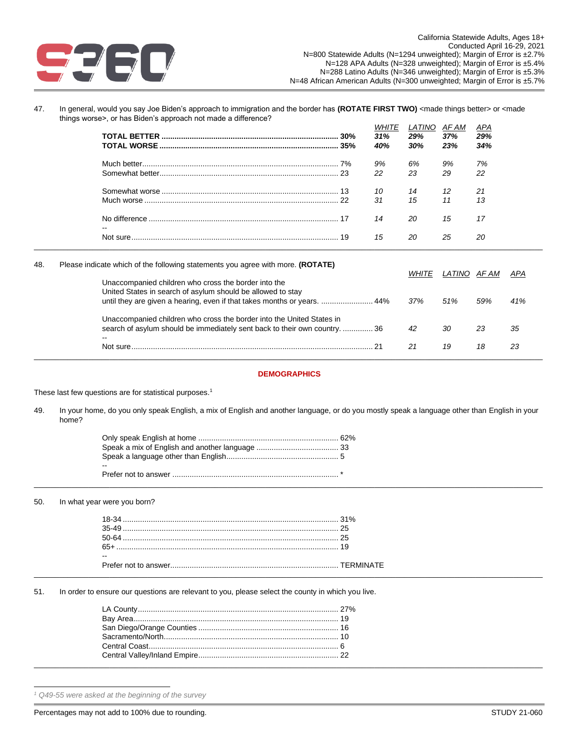

47. In general, would you say Joe Biden's approach to immigration and the border has **(ROTATE FIRST TWO)** <made things better> or <made things worse>, or has Biden's approach not made a difference?

|     |                                                                                 | <b>WHITE</b><br>31%<br>40% | LATINO<br>29%<br>30% | AF AM<br>37%<br>23% | APA<br>29%<br>34% |  |
|-----|---------------------------------------------------------------------------------|----------------------------|----------------------|---------------------|-------------------|--|
|     |                                                                                 | 9%<br>22                   | 6%<br>23             | 9%<br>29            | 7%<br>22          |  |
|     |                                                                                 | 10<br>31                   | 14<br>15             | 12<br>11            | 21<br>13          |  |
|     |                                                                                 | 14                         | 20                   | 15                  | 17                |  |
|     |                                                                                 | 15                         | 20                   | 25                  | 20                |  |
| 48. | Please indicate which of the following statements you agree with more. (ROTATE) |                            | <b>WHITE</b>         | LATINO              | AF AM             |  |
|     | Unaccompanied children who cross the border into the                            |                            |                      |                     |                   |  |

| Unaccompanied children who cross the border into the                                                                                                      | <i>WHITE</i> | LATINO AFAM |     | APA |
|-----------------------------------------------------------------------------------------------------------------------------------------------------------|--------------|-------------|-----|-----|
| United States in search of asylum should be allowed to stay<br>until they are given a hearing, even if that takes months or years.  44%                   | 37%          | 51%         | 59% | 41% |
| Unaccompanied children who cross the border into the United States in<br>search of asylum should be immediately sent back to their own country36<br>$- -$ | 42           | 30          | 23  | 35  |
|                                                                                                                                                           | 21           | 19          | 18  | 23  |

### **DEMOGRAPHICS**

These last few questions are for statistical purposes.<sup>1</sup>

49. In your home, do you only speak English, a mix of English and another language, or do you mostly speak a language other than English in your home?

\_\_\_\_\_\_\_\_\_\_\_\_\_\_\_\_\_\_\_\_\_\_\_\_\_\_\_\_\_\_\_\_\_\_\_\_\_\_\_\_\_\_\_\_\_\_\_\_\_\_\_\_\_\_\_\_\_\_\_\_\_\_\_\_\_\_\_\_\_\_\_\_\_\_\_\_\_\_\_\_\_\_\_\_\_\_\_\_\_\_\_\_\_\_\_\_\_\_\_\_\_\_\_\_\_\_\_\_\_\_\_\_\_\_\_\_\_\_\_\_\_

| -- |  |
|----|--|
|    |  |

### 50. In what year were you born?

| 18-34                | 31%              |
|----------------------|------------------|
| $35-40$              |                  |
| $50 - 64$            |                  |
| 65-                  |                  |
| $- -$                |                  |
| Prefer not to answer | <b>TFRMINATF</b> |

51. In order to ensure our questions are relevant to you, please select the county in which you live.

*<sup>1</sup> Q49-55 were asked at the beginning of the survey*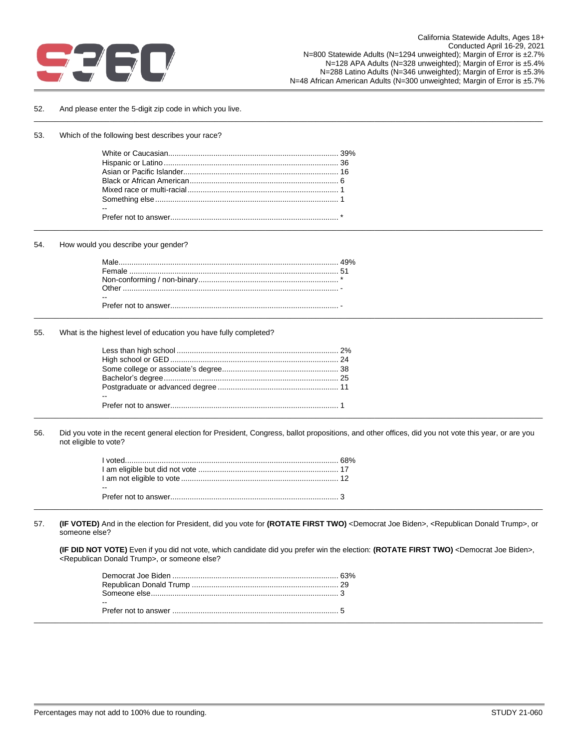

### 52. And please enter the 5-digit zip code in which you live.

### 53. Which of the following best describes your race?

### 54. How would you describe your gender?

| Male     | 49% |
|----------|-----|
| Female   | π,  |
|          |     |
| $2$ ther |     |
| $- -$    |     |
|          |     |
|          |     |

### 55. What is the highest level of education you have fully completed?

| -- |  |
|----|--|
|    |  |
|    |  |

56. Did you vote in the recent general election for President, Congress, ballot propositions, and other offices, did you not vote this year, or are you not eligible to vote?

\_\_\_\_\_\_\_\_\_\_\_\_\_\_\_\_\_\_\_\_\_\_\_\_\_\_\_\_\_\_\_\_\_\_\_\_\_\_\_\_\_\_\_\_\_\_\_\_\_\_\_\_\_\_\_\_\_\_\_\_\_\_\_\_\_\_\_\_\_\_\_\_\_\_\_\_\_\_\_\_\_\_\_\_\_\_\_\_\_\_\_\_\_\_\_\_\_\_\_\_\_\_\_\_\_\_\_\_\_\_\_\_\_\_\_\_\_\_\_\_\_

\_\_\_\_\_\_\_\_\_\_\_\_\_\_\_\_\_\_\_\_\_\_\_\_\_\_\_\_\_\_\_\_\_\_\_\_\_\_\_\_\_\_\_\_\_\_\_\_\_\_\_\_\_\_\_\_\_\_\_\_\_\_\_\_\_\_\_\_\_\_\_\_\_\_\_\_\_\_\_\_\_\_\_\_\_\_\_\_\_\_\_\_\_\_\_\_\_\_\_\_\_\_\_\_\_\_\_\_\_\_\_\_\_\_\_\_\_\_\_\_\_

|       | 68% |
|-------|-----|
|       |     |
|       |     |
| $- -$ |     |
|       |     |
|       |     |

57. **(IF VOTED)** And in the election for President, did you vote for **(ROTATE FIRST TWO)** <Democrat Joe Biden>, <Republican Donald Trump>, or someone else?

\_\_\_\_\_\_\_\_\_\_\_\_\_\_\_\_\_\_\_\_\_\_\_\_\_\_\_\_\_\_\_\_\_\_\_\_\_\_\_\_\_\_\_\_\_\_\_\_\_\_\_\_\_\_\_\_\_\_\_\_\_\_\_\_\_\_\_\_\_\_\_\_\_\_\_\_\_\_\_\_\_\_\_\_\_\_\_\_\_\_\_\_\_\_\_\_\_\_\_\_\_\_\_\_\_\_\_\_\_\_\_\_\_\_\_\_\_\_\_\_\_

**(IF DID NOT VOTE)** Even if you did not vote, which candidate did you prefer win the election: **(ROTATE FIRST TWO)** <Democrat Joe Biden>, <Republican Donald Trump>, or someone else?

| $-$ |  |
|-----|--|
|     |  |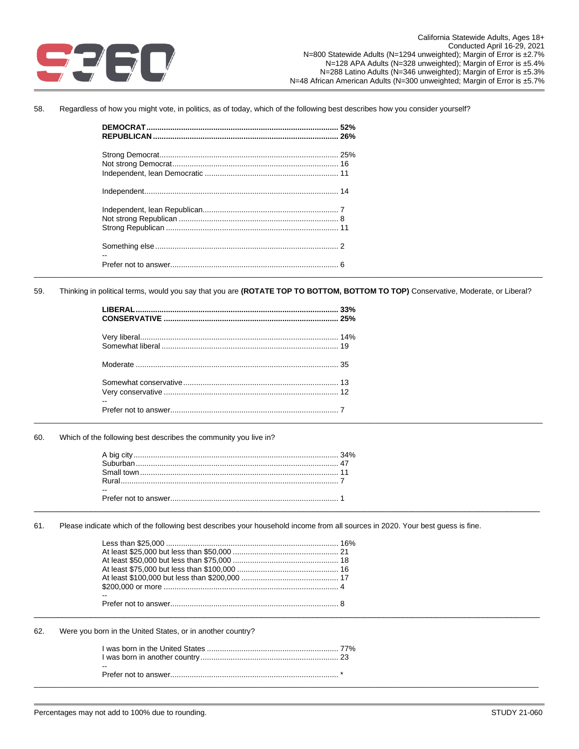

58. Regardless of how you might vote, in politics, as of today, which of the following best describes how you consider yourself?

Thinking in political terms, would you say that you are (ROTATE TOP TO BOTTOM, BOTTOM TO TOP) Conservative, Moderate, or Liberal? 59.

60. Which of the following best describes the community you live in?

61. Please indicate which of the following best describes your household income from all sources in 2020. Your best guess is fine.

62. Were you born in the United States, or in another country?

| $\sim$ |  |
|--------|--|
|        |  |